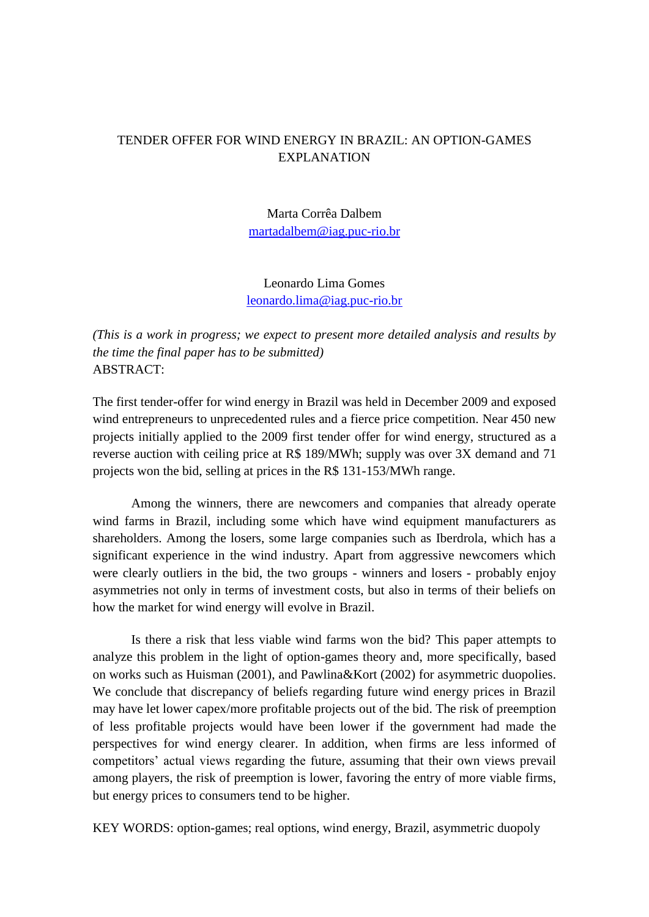# TENDER OFFER FOR WIND ENERGY IN BRAZIL: AN OPTION-GAMES EXPLANATION

Marta Corrêa Dalbem [martadalbem@iag.puc-rio.br](mailto:martadalbem@iag.puc-rio.br)

Leonardo Lima Gomes [leonardo.lima@iag.puc-rio.br](mailto:leonardo.lima@iag.puc-rio.br)

*(This is a work in progress; we expect to present more detailed analysis and results by the time the final paper has to be submitted)* ABSTRACT:

The first tender-offer for wind energy in Brazil was held in December 2009 and exposed wind entrepreneurs to unprecedented rules and a fierce price competition. Near 450 new projects initially applied to the 2009 first tender offer for wind energy, structured as a reverse auction with ceiling price at R\$ 189/MWh; supply was over 3X demand and 71 projects won the bid, selling at prices in the R\$ 131-153/MWh range.

Among the winners, there are newcomers and companies that already operate wind farms in Brazil, including some which have wind equipment manufacturers as shareholders. Among the losers, some large companies such as Iberdrola, which has a significant experience in the wind industry. Apart from aggressive newcomers which were clearly outliers in the bid, the two groups - winners and losers - probably enjoy asymmetries not only in terms of investment costs, but also in terms of their beliefs on how the market for wind energy will evolve in Brazil.

Is there a risk that less viable wind farms won the bid? This paper attempts to analyze this problem in the light of option-games theory and, more specifically, based on works such as Huisman (2001), and Pawlina&Kort (2002) for asymmetric duopolies. We conclude that discrepancy of beliefs regarding future wind energy prices in Brazil may have let lower capex/more profitable projects out of the bid. The risk of preemption of less profitable projects would have been lower if the government had made the perspectives for wind energy clearer. In addition, when firms are less informed of competitors" actual views regarding the future, assuming that their own views prevail among players, the risk of preemption is lower, favoring the entry of more viable firms, but energy prices to consumers tend to be higher.

KEY WORDS: option-games; real options, wind energy, Brazil, asymmetric duopoly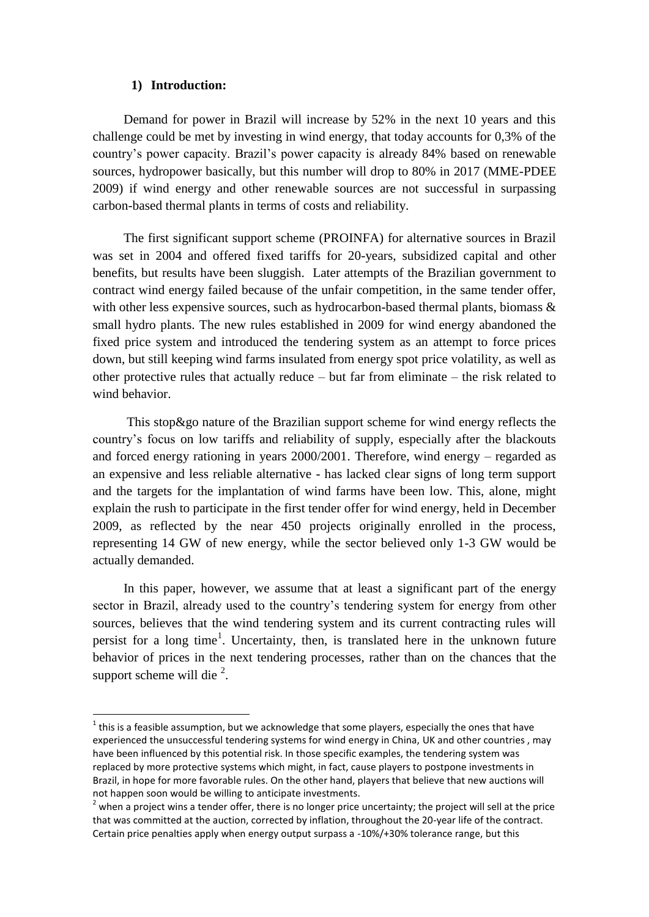## **1) Introduction:**

1

Demand for power in Brazil will increase by 52% in the next 10 years and this challenge could be met by investing in wind energy, that today accounts for 0,3% of the country"s power capacity. Brazil"s power capacity is already 84% based on renewable sources, hydropower basically, but this number will drop to 80% in 2017 (MME-PDEE 2009) if wind energy and other renewable sources are not successful in surpassing carbon-based thermal plants in terms of costs and reliability.

The first significant support scheme (PROINFA) for alternative sources in Brazil was set in 2004 and offered fixed tariffs for 20-years, subsidized capital and other benefits, but results have been sluggish. Later attempts of the Brazilian government to contract wind energy failed because of the unfair competition, in the same tender offer, with other less expensive sources, such as hydrocarbon-based thermal plants, biomass & small hydro plants. The new rules established in 2009 for wind energy abandoned the fixed price system and introduced the tendering system as an attempt to force prices down, but still keeping wind farms insulated from energy spot price volatility, as well as other protective rules that actually reduce – but far from eliminate – the risk related to wind behavior.

This stop&go nature of the Brazilian support scheme for wind energy reflects the country"s focus on low tariffs and reliability of supply, especially after the blackouts and forced energy rationing in years 2000/2001. Therefore, wind energy – regarded as an expensive and less reliable alternative - has lacked clear signs of long term support and the targets for the implantation of wind farms have been low. This, alone, might explain the rush to participate in the first tender offer for wind energy, held in December 2009, as reflected by the near 450 projects originally enrolled in the process, representing 14 GW of new energy, while the sector believed only 1-3 GW would be actually demanded.

In this paper, however, we assume that at least a significant part of the energy sector in Brazil, already used to the country's tendering system for energy from other sources, believes that the wind tendering system and its current contracting rules will persist for a long time<sup>1</sup>. Uncertainty, then, is translated here in the unknown future behavior of prices in the next tendering processes, rather than on the chances that the support scheme will die  $2$ .

 $1$  this is a feasible assumption, but we acknowledge that some players, especially the ones that have experienced the unsuccessful tendering systems for wind energy in China, UK and other countries , may have been influenced by this potential risk. In those specific examples, the tendering system was replaced by more protective systems which might, in fact, cause players to postpone investments in Brazil, in hope for more favorable rules. On the other hand, players that believe that new auctions will not happen soon would be willing to anticipate investments.

 $2$  when a project wins a tender offer, there is no longer price uncertainty; the project will sell at the price that was committed at the auction, corrected by inflation, throughout the 20-year life of the contract. Certain price penalties apply when energy output surpass a -10%/+30% tolerance range, but this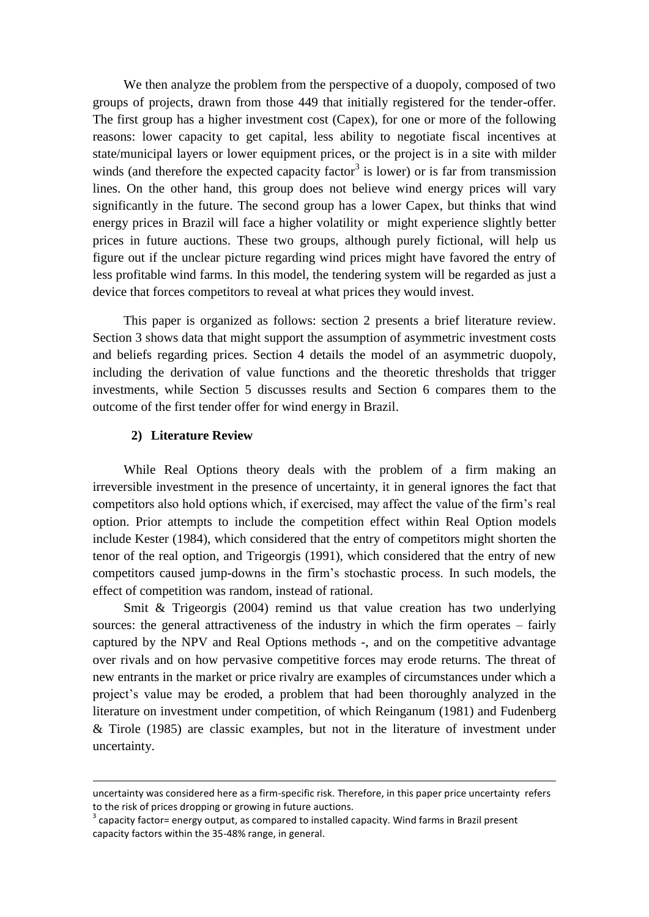We then analyze the problem from the perspective of a duopoly, composed of two groups of projects, drawn from those 449 that initially registered for the tender-offer. The first group has a higher investment cost (Capex), for one or more of the following reasons: lower capacity to get capital, less ability to negotiate fiscal incentives at state/municipal layers or lower equipment prices, or the project is in a site with milder winds (and therefore the expected capacity factor<sup>3</sup> is lower) or is far from transmission lines. On the other hand, this group does not believe wind energy prices will vary significantly in the future. The second group has a lower Capex, but thinks that wind energy prices in Brazil will face a higher volatility or might experience slightly better prices in future auctions. These two groups, although purely fictional, will help us figure out if the unclear picture regarding wind prices might have favored the entry of less profitable wind farms. In this model, the tendering system will be regarded as just a device that forces competitors to reveal at what prices they would invest.

This paper is organized as follows: section 2 presents a brief literature review. Section 3 shows data that might support the assumption of asymmetric investment costs and beliefs regarding prices. Section 4 details the model of an asymmetric duopoly, including the derivation of value functions and the theoretic thresholds that trigger investments, while Section 5 discusses results and Section 6 compares them to the outcome of the first tender offer for wind energy in Brazil.

# **2) Literature Review**

1

While Real Options theory deals with the problem of a firm making an irreversible investment in the presence of uncertainty, it in general ignores the fact that competitors also hold options which, if exercised, may affect the value of the firm"s real option. Prior attempts to include the competition effect within Real Option models include Kester (1984), which considered that the entry of competitors might shorten the tenor of the real option, and Trigeorgis (1991), which considered that the entry of new competitors caused jump-downs in the firm"s stochastic process. In such models, the effect of competition was random, instead of rational.

Smit & Trigeorgis (2004) remind us that value creation has two underlying sources: the general attractiveness of the industry in which the firm operates – fairly captured by the NPV and Real Options methods -, and on the competitive advantage over rivals and on how pervasive competitive forces may erode returns. The threat of new entrants in the market or price rivalry are examples of circumstances under which a project"s value may be eroded, a problem that had been thoroughly analyzed in the literature on investment under competition, of which Reinganum (1981) and Fudenberg & Tirole (1985) are classic examples, but not in the literature of investment under uncertainty.

uncertainty was considered here as a firm-specific risk. Therefore, in this paper price uncertainty refers to the risk of prices dropping or growing in future auctions.

 $3$  capacity factor= energy output, as compared to installed capacity. Wind farms in Brazil present capacity factors within the 35-48% range, in general.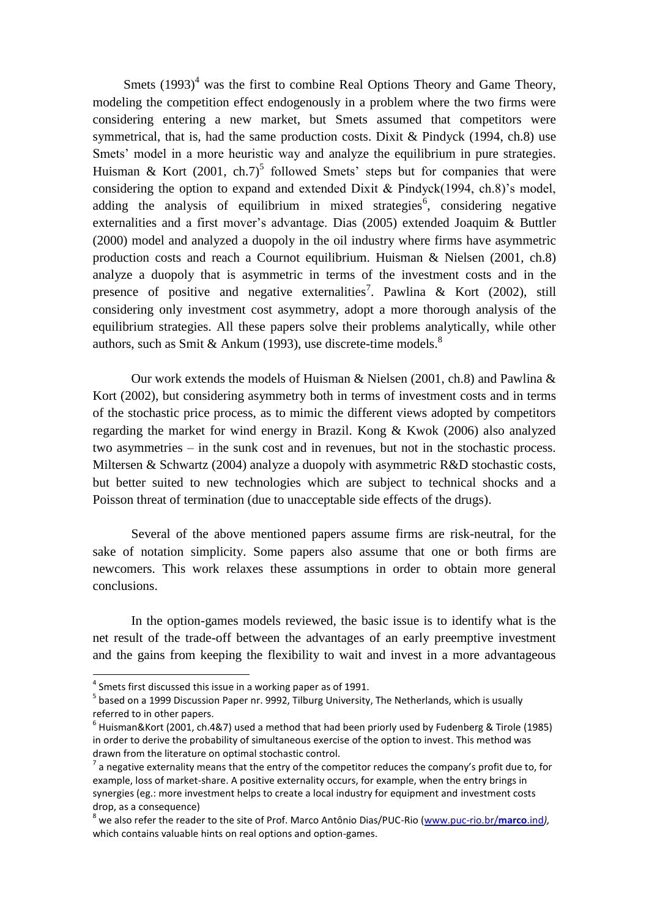Smets  $(1993)^4$  was the first to combine Real Options Theory and Game Theory, modeling the competition effect endogenously in a problem where the two firms were considering entering a new market, but Smets assumed that competitors were symmetrical, that is, had the same production costs. Dixit & Pindyck (1994, ch.8) use Smets' model in a more heuristic way and analyze the equilibrium in pure strategies. Huisman & Kort (2001, ch.7)<sup>5</sup> followed Smets' steps but for companies that were considering the option to expand and extended Dixit & Pindyck(1994, ch.8)'s model, adding the analysis of equilibrium in mixed strategies<sup>6</sup>, considering negative externalities and a first mover's advantage. Dias (2005) extended Joaquim & Buttler (2000) model and analyzed a duopoly in the oil industry where firms have asymmetric production costs and reach a Cournot equilibrium. Huisman & Nielsen (2001, ch.8) analyze a duopoly that is asymmetric in terms of the investment costs and in the presence of positive and negative externalities<sup>7</sup>. Pawlina & Kort (2002), still considering only investment cost asymmetry, adopt a more thorough analysis of the equilibrium strategies. All these papers solve their problems analytically, while other authors, such as Smit & Ankum (1993), use discrete-time models.<sup>8</sup>

Our work extends the models of Huisman & Nielsen (2001, ch.8) and Pawlina & Kort (2002), but considering asymmetry both in terms of investment costs and in terms of the stochastic price process, as to mimic the different views adopted by competitors regarding the market for wind energy in Brazil. Kong & Kwok (2006) also analyzed two asymmetries – in the sunk cost and in revenues, but not in the stochastic process. Miltersen & Schwartz (2004) analyze a duopoly with asymmetric R&D stochastic costs, but better suited to new technologies which are subject to technical shocks and a Poisson threat of termination (due to unacceptable side effects of the drugs).

Several of the above mentioned papers assume firms are risk-neutral, for the sake of notation simplicity. Some papers also assume that one or both firms are newcomers. This work relaxes these assumptions in order to obtain more general conclusions.

In the option-games models reviewed, the basic issue is to identify what is the net result of the trade-off between the advantages of an early preemptive investment and the gains from keeping the flexibility to wait and invest in a more advantageous

**.** 

 $<sup>4</sup>$  Smets first discussed this issue in a working paper as of 1991.</sup>

<sup>&</sup>lt;sup>5</sup> based on a 1999 Discussion Paper nr. 9992, Tilburg University, The Netherlands, which is usually referred to in other papers.

 $^6$  Huisman&Kort (2001, ch.4&7) used a method that had been priorly used by Fudenberg & Tirole (1985) in order to derive the probability of simultaneous exercise of the option to invest. This method was drawn from the literature on optimal stochastic control.

 $^7$  a negative externality means that the entry of the competitor reduces the company's profit due to, for example, loss of market-share. A positive externality occurs, for example, when the entry brings in synergies (eg.: more investment helps to create a local industry for equipment and investment costs drop, as a consequence)

<sup>8</sup> we also refer the reader to the site of Prof. Marco Antônio Dias/PUC-Rio [\(www.puc-rio.br/](http://www.puc-rio.br/marco.ind)**marco**.ind*),*  which contains valuable hints on real options and option-games.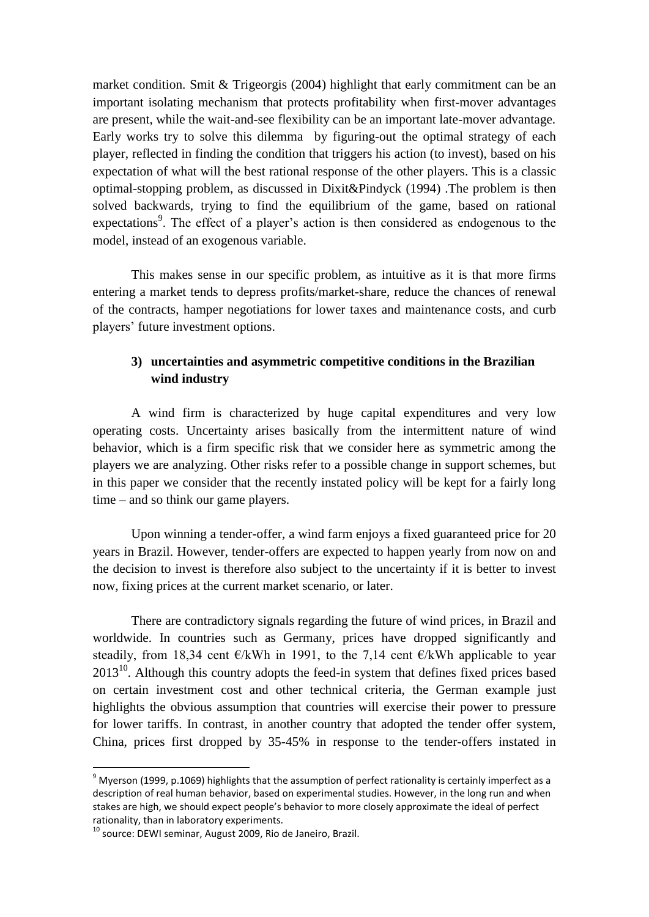market condition. Smit & Trigeorgis (2004) highlight that early commitment can be an important isolating mechanism that protects profitability when first-mover advantages are present, while the wait-and-see flexibility can be an important late-mover advantage. Early works try to solve this dilemma by figuring-out the optimal strategy of each player, reflected in finding the condition that triggers his action (to invest), based on his expectation of what will the best rational response of the other players. This is a classic optimal-stopping problem, as discussed in Dixit&Pindyck (1994) .The problem is then solved backwards, trying to find the equilibrium of the game, based on rational expectations<sup>9</sup>. The effect of a player's action is then considered as endogenous to the model, instead of an exogenous variable.

This makes sense in our specific problem, as intuitive as it is that more firms entering a market tends to depress profits/market-share, reduce the chances of renewal of the contracts, hamper negotiations for lower taxes and maintenance costs, and curb players" future investment options.

# **3) uncertainties and asymmetric competitive conditions in the Brazilian wind industry**

A wind firm is characterized by huge capital expenditures and very low operating costs. Uncertainty arises basically from the intermittent nature of wind behavior, which is a firm specific risk that we consider here as symmetric among the players we are analyzing. Other risks refer to a possible change in support schemes, but in this paper we consider that the recently instated policy will be kept for a fairly long time – and so think our game players.

Upon winning a tender-offer, a wind farm enjoys a fixed guaranteed price for 20 years in Brazil. However, tender-offers are expected to happen yearly from now on and the decision to invest is therefore also subject to the uncertainty if it is better to invest now, fixing prices at the current market scenario, or later.

There are contradictory signals regarding the future of wind prices, in Brazil and worldwide. In countries such as Germany, prices have dropped significantly and steadily, from 18,34 cent  $\epsilon/kWh$  in 1991, to the 7,14 cent  $\epsilon/kWh$  applicable to year  $2013<sup>10</sup>$ . Although this country adopts the feed-in system that defines fixed prices based on certain investment cost and other technical criteria, the German example just highlights the obvious assumption that countries will exercise their power to pressure for lower tariffs. In contrast, in another country that adopted the tender offer system, China, prices first dropped by 35-45% in response to the tender-offers instated in

**.** 

 $9$  Myerson (1999, p.1069) highlights that the assumption of perfect rationality is certainly imperfect as a description of real human behavior, based on experimental studies. However, in the long run and when stakes are high, we should expect people's behavior to more closely approximate the ideal of perfect rationality, than in laboratory experiments.

<sup>&</sup>lt;sup>10</sup> source: DEWI seminar, August 2009, Rio de Janeiro, Brazil.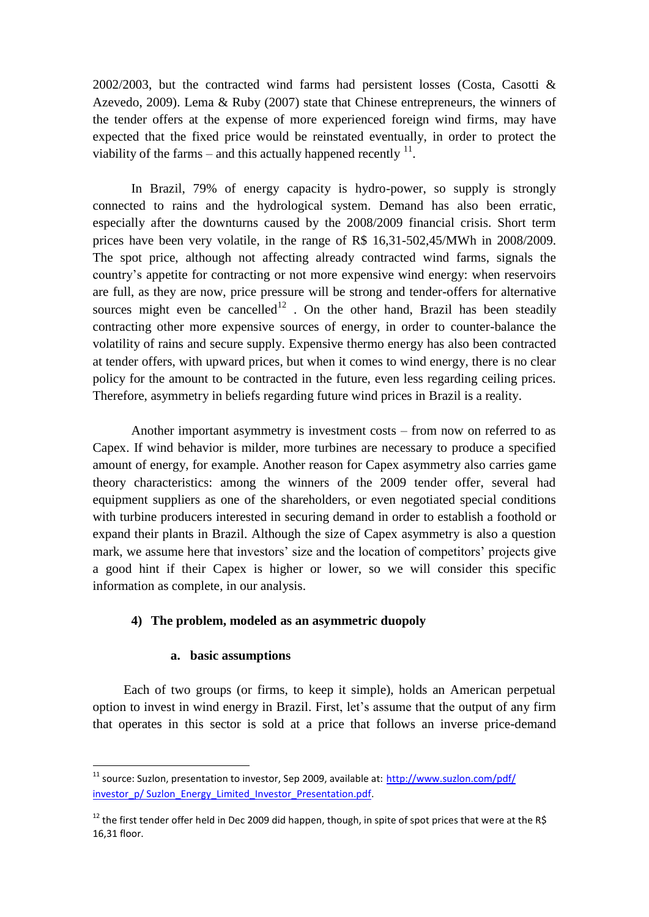2002/2003, but the contracted wind farms had persistent losses (Costa, Casotti & Azevedo, 2009). Lema & Ruby (2007) state that Chinese entrepreneurs, the winners of the tender offers at the expense of more experienced foreign wind firms, may have expected that the fixed price would be reinstated eventually, in order to protect the viability of the farms – and this actually happened recently  $11$ .

In Brazil, 79% of energy capacity is hydro-power, so supply is strongly connected to rains and the hydrological system. Demand has also been erratic, especially after the downturns caused by the 2008/2009 financial crisis. Short term prices have been very volatile, in the range of R\$ 16,31-502,45/MWh in 2008/2009. The spot price, although not affecting already contracted wind farms, signals the country"s appetite for contracting or not more expensive wind energy: when reservoirs are full, as they are now, price pressure will be strong and tender-offers for alternative sources might even be cancelled<sup>12</sup>. On the other hand, Brazil has been steadily contracting other more expensive sources of energy, in order to counter-balance the volatility of rains and secure supply. Expensive thermo energy has also been contracted at tender offers, with upward prices, but when it comes to wind energy, there is no clear policy for the amount to be contracted in the future, even less regarding ceiling prices. Therefore, asymmetry in beliefs regarding future wind prices in Brazil is a reality.

Another important asymmetry is investment costs – from now on referred to as Capex. If wind behavior is milder, more turbines are necessary to produce a specified amount of energy, for example. Another reason for Capex asymmetry also carries game theory characteristics: among the winners of the 2009 tender offer, several had equipment suppliers as one of the shareholders, or even negotiated special conditions with turbine producers interested in securing demand in order to establish a foothold or expand their plants in Brazil. Although the size of Capex asymmetry is also a question mark, we assume here that investors' size and the location of competitors' projects give a good hint if their Capex is higher or lower, so we will consider this specific information as complete, in our analysis.

# **4) The problem, modeled as an asymmetric duopoly**

# **a. basic assumptions**

**.** 

Each of two groups (or firms, to keep it simple), holds an American perpetual option to invest in wind energy in Brazil. First, let"s assume that the output of any firm that operates in this sector is sold at a price that follows an inverse price-demand

<sup>&</sup>lt;sup>11</sup> source: Suzlon, presentation to investor, Sep 2009, available at: http://www.suzlon.com/pdf/ [investor\\_p/ Suzlon\\_Energy\\_Limited\\_Investor\\_Presentation.pdf.](http://www.suzlon.com/pdf/%20investor_p/%20Suzlon_Energy_Limited_Investor_Presentation.pdf)

<sup>&</sup>lt;sup>12</sup> the first tender offer held in Dec 2009 did happen, though, in spite of spot prices that were at the R\$ 16,31 floor.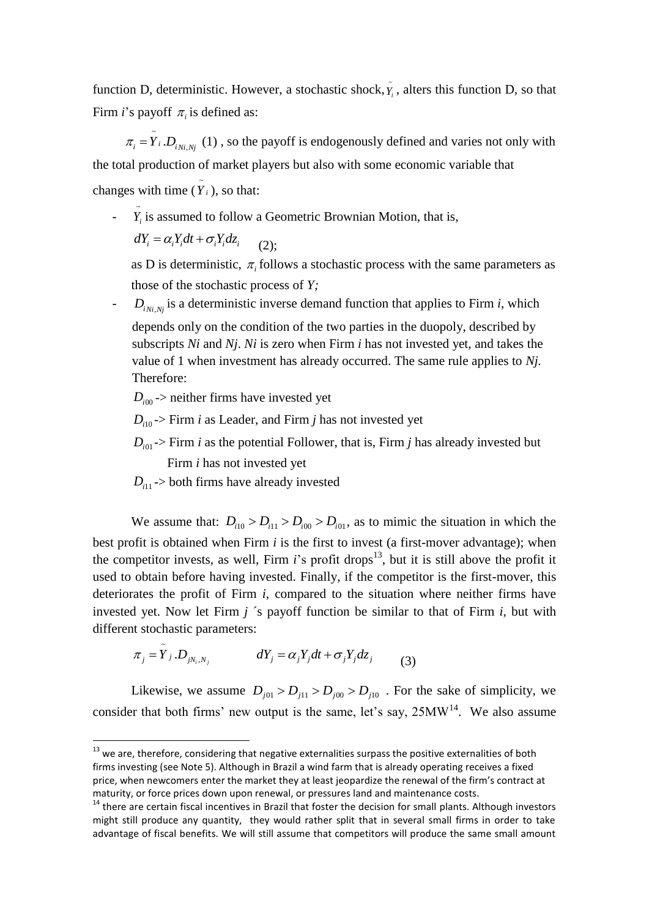function D, deterministic. However, a stochastic shock,  $\tilde{Y}_i$ , alters this function D, so that Firm *i*'s payoff  $\pi$ <sub>*i*</sub> is defined as:

~  $\pi_i = Y_i D_{i, N_i, N_j}$  (1), so the payoff is endogenously defined and varies not only with the total production of market players but also with some economic variable that changes with time  $(\tilde{Y}_i)$ , so that:

 $\tilde{Y}_i$  is assumed to follow a Geometric Brownian Motion, that is,

 $dY_i = \alpha_i Y_i dt + \sigma_i Y_i dz_i$  $(2)$ :

as D is deterministic,  $\pi$ <sub>i</sub> follows a stochastic process with the same parameters as those of the stochastic process of *Y;*

 $-D_{i_{Ni,Nj}}$  is a deterministic inverse demand function that applies to Firm *i*, which depends only on the condition of the two parties in the duopoly, described by subscripts *Ni* and *Nj*. *Ni* is zero when Firm *i* has not invested yet, and takes the value of 1 when investment has already occurred. The same rule applies to *Nj.* Therefore:

 $D_{i00}$  -> neither firms have invested yet

*Di*<sup>10</sup> -> Firm *i* as Leader, and Firm *j* has not invested yet

- $D_{i01}$  > Firm *i* as the potential Follower, that is, Firm *j* has already invested but Firm *i* has not invested yet
- $D_{i11}$  -> both firms have already invested

1

We assume that:  $D_{i10} > D_{i11} > D_{i00} > D_{i01}$ , as to mimic the situation in which the best profit is obtained when Firm *i* is the first to invest (a first-mover advantage); when the competitor invests, as well, Firm  $i$ 's profit drops<sup>13</sup>, but it is still above the profit it used to obtain before having invested. Finally, if the competitor is the first-mover, this deteriorates the profit of Firm *i,* compared to the situation where neither firms have invested yet. Now let Firm *j* ´s payoff function be similar to that of Firm *i,* but with different stochastic parameters:

$$
\pi_j = \tilde{Y}_j \cdot D_{jN_i, N_j} \qquad dY_j = \alpha_j Y_j dt + \sigma_j Y_j dz_j \qquad (3)
$$

Likewise, we assume  $D_{j01} > D_{j11} > D_{j00} > D_{j10}$ . For the sake of simplicity, we consider that both firms' new output is the same, let's say,  $25MW<sup>14</sup>$ . We also assume

 $13$  we are, therefore, considering that negative externalities surpass the positive externalities of both firms investing (see Note 5). Although in Brazil a wind farm that is already operating receives a fixed price, when newcomers enter the market they at least jeopardize the renewal of the firm's contract at maturity, or force prices down upon renewal, or pressures land and maintenance costs.

<sup>&</sup>lt;sup>14</sup> there are certain fiscal incentives in Brazil that foster the decision for small plants. Although investors might still produce any quantity, they would rather split that in several small firms in order to take advantage of fiscal benefits. We will still assume that competitors will produce the same small amount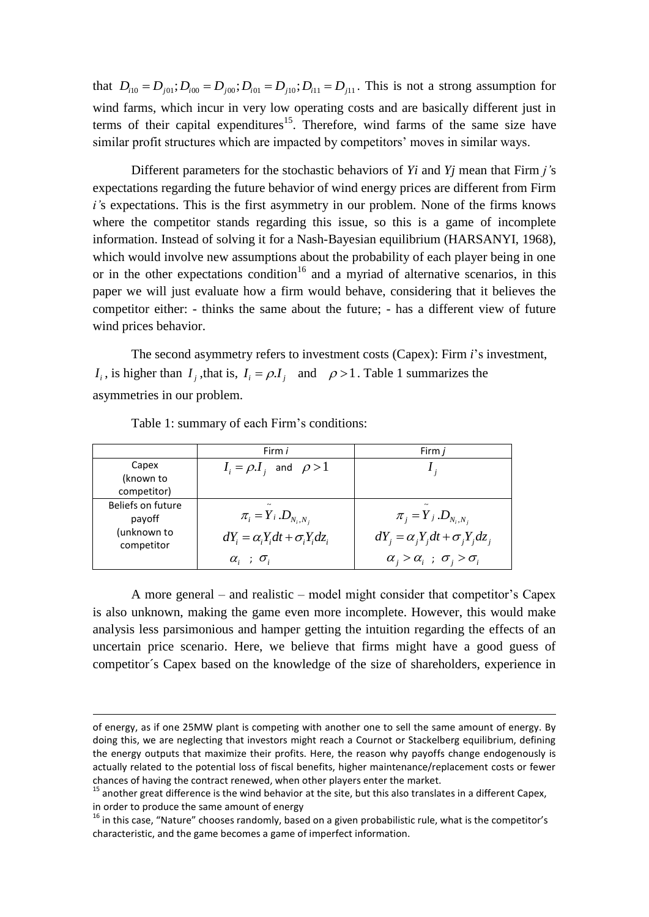that  $D_{i10} = D_{j01}$ ;  $D_{i00} = D_{j00}$ ;  $D_{i01} = D_{j10}$ ;  $D_{i11} = D_{j11}$ . This is not a strong assumption for wind farms, which incur in very low operating costs and are basically different just in terms of their capital expenditures<sup>15</sup>. Therefore, wind farms of the same size have similar profit structures which are impacted by competitors' moves in similar ways.

Different parameters for the stochastic behaviors of *Yi* and *Yj* mean that Firm *j'*s expectations regarding the future behavior of wind energy prices are different from Firm *i'*s expectations. This is the first asymmetry in our problem. None of the firms knows where the competitor stands regarding this issue, so this is a game of incomplete information. Instead of solving it for a Nash-Bayesian equilibrium (HARSANYI, 1968), which would involve new assumptions about the probability of each player being in one or in the other expectations condition<sup>16</sup> and a myriad of alternative scenarios, in this paper we will just evaluate how a firm would behave, considering that it believes the competitor either: - thinks the same about the future; - has a different view of future wind prices behavior.

The second asymmetry refers to investment costs (Capex): Firm *i*"s investment, *I*<sub>i</sub>, is higher than *I*<sub>j</sub>, that is, *I*<sub>i</sub> =  $\rho$ *.I*<sub>j</sub> and  $\rho$  > 1. Table 1 summarizes the asymmetries in our problem.

|                           | Firm i                                       | Firm <i>i</i>                                 |  |  |
|---------------------------|----------------------------------------------|-----------------------------------------------|--|--|
| Capex                     | $I_i = \rho.I_i$ and $\rho > 1$              |                                               |  |  |
| (known to                 |                                              |                                               |  |  |
| competitor)               |                                              |                                               |  |  |
| Beliefs on future         |                                              |                                               |  |  |
| payoff                    | $\pi_i = Y_i \cdot D_{N_i,N_i}$              | $\pi_{i} = Y_{i} . D_{N_{i}, N_{i}}$          |  |  |
| (unknown to<br>competitor | $dY_i = \alpha_i Y_i dt + \sigma_i Y_i dz_i$ | $dY_i = \alpha_i Y_i dt + \sigma_i Y_i dz_i$  |  |  |
|                           | $\alpha_i$ ; $\sigma_i$                      | $\alpha_i > \alpha_i$ ; $\sigma_i > \sigma_i$ |  |  |

Table 1: summary of each Firm's conditions:

1

A more general – and realistic – model might consider that competitor"s Capex is also unknown, making the game even more incomplete. However, this would make analysis less parsimonious and hamper getting the intuition regarding the effects of an uncertain price scenario. Here, we believe that firms might have a good guess of competitor´s Capex based on the knowledge of the size of shareholders, experience in

of energy, as if one 25MW plant is competing with another one to sell the same amount of energy. By doing this, we are neglecting that investors might reach a Cournot or Stackelberg equilibrium, defining the energy outputs that maximize their profits. Here, the reason why payoffs change endogenously is actually related to the potential loss of fiscal benefits, higher maintenance/replacement costs or fewer chances of having the contract renewed, when other players enter the market.

 $15$  another great difference is the wind behavior at the site, but this also translates in a different Capex, in order to produce the same amount of energy

<sup>&</sup>lt;sup>16</sup> in this case, "Nature" chooses randomly, based on a given probabilistic rule, what is the competitor's characteristic, and the game becomes a game of imperfect information.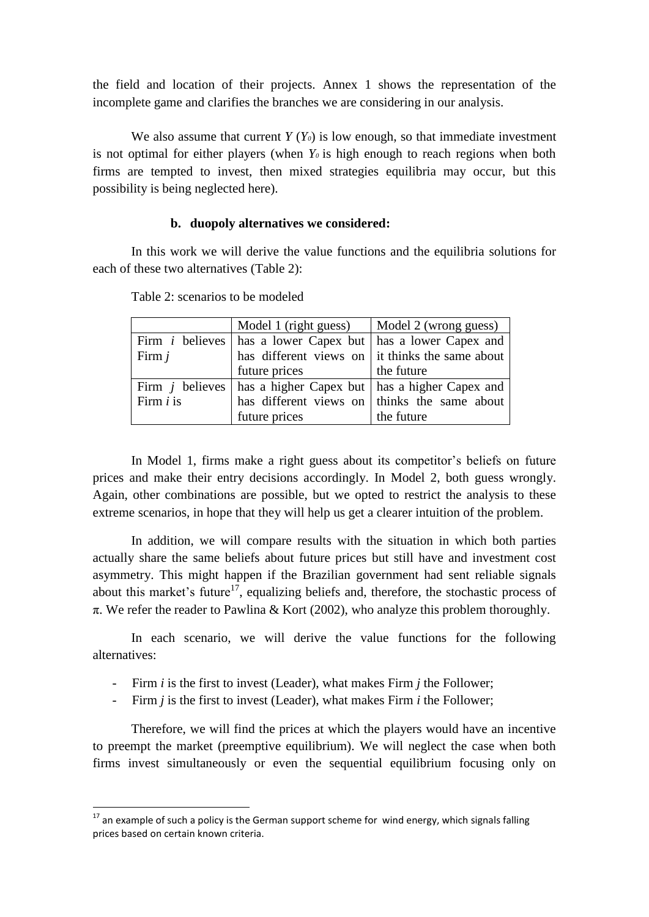the field and location of their projects. Annex 1 shows the representation of the incomplete game and clarifies the branches we are considering in our analysis.

We also assume that current  $Y(Y_0)$  is low enough, so that immediate investment is not optimal for either players (when *Y<sup>0</sup>* is high enough to reach regions when both firms are tempted to invest, then mixed strategies equilibria may occur, but this possibility is being neglected here).

## **b. duopoly alternatives we considered:**

In this work we will derive the value functions and the equilibria solutions for each of these two alternatives (Table 2):

|             | Model 1 (right guess)                                                  | Model 2 (wrong guess)                                   |  |  |  |
|-------------|------------------------------------------------------------------------|---------------------------------------------------------|--|--|--|
|             | Firm <i>i</i> believes   has a lower Capex but   has a lower Capex and |                                                         |  |  |  |
| Firm $j$    |                                                                        | has different views on $\vert$ it thinks the same about |  |  |  |
|             | future prices                                                          | the future                                              |  |  |  |
|             | Firm $j$ believes   has a higher Capex but   has a higher Capex and    |                                                         |  |  |  |
| Firm $i$ is |                                                                        | has different views on thinks the same about            |  |  |  |
|             | future prices                                                          | the future                                              |  |  |  |

Table 2: scenarios to be modeled

In Model 1, firms make a right guess about its competitor"s beliefs on future prices and make their entry decisions accordingly. In Model 2, both guess wrongly. Again, other combinations are possible, but we opted to restrict the analysis to these extreme scenarios, in hope that they will help us get a clearer intuition of the problem.

In addition, we will compare results with the situation in which both parties actually share the same beliefs about future prices but still have and investment cost asymmetry. This might happen if the Brazilian government had sent reliable signals about this market's future<sup>17</sup>, equalizing beliefs and, therefore, the stochastic process of  $\pi$ . We refer the reader to Pawlina & Kort (2002), who analyze this problem thoroughly.

In each scenario, we will derive the value functions for the following alternatives:

- Firm *i* is the first to invest (Leader), what makes Firm *j* the Follower;
- Firm *j* is the first to invest (Leader), what makes Firm *i* the Follower;

Therefore, we will find the prices at which the players would have an incentive to preempt the market (preemptive equilibrium). We will neglect the case when both firms invest simultaneously or even the sequential equilibrium focusing only on

1

 $17$  an example of such a policy is the German support scheme for wind energy, which signals falling prices based on certain known criteria.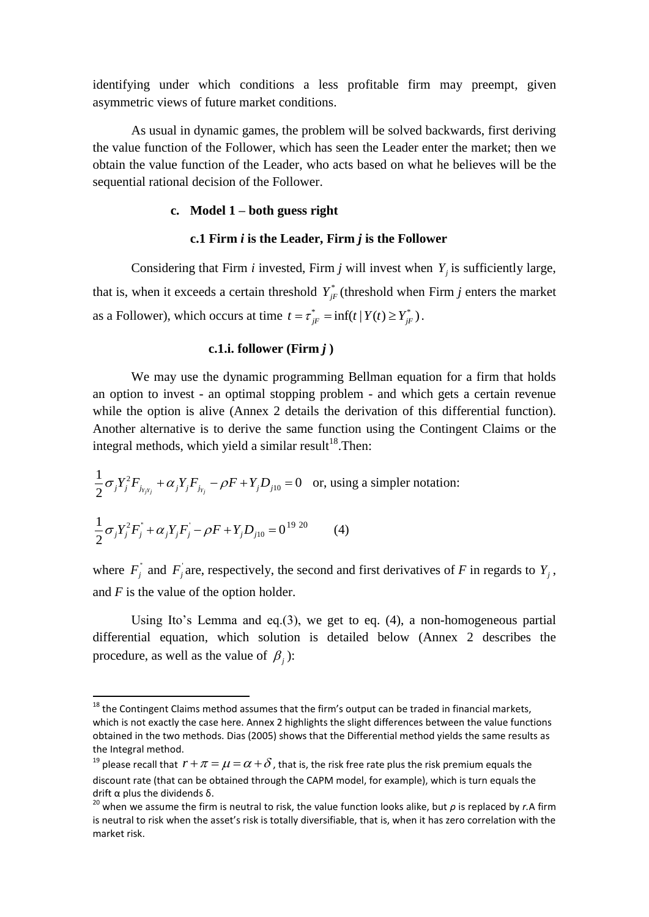identifying under which conditions a less profitable firm may preempt, given asymmetric views of future market conditions.

As usual in dynamic games, the problem will be solved backwards, first deriving the value function of the Follower, which has seen the Leader enter the market; then we obtain the value function of the Leader, who acts based on what he believes will be the sequential rational decision of the Follower.

## **c. Model 1 – both guess right**

## **c.1 Firm** *i* **is the Leader, Firm** *j* **is the Follower**

Considering that Firm *i* invested, Firm *j* will invest when  $Y_j$  is sufficiently large, that is, when it exceeds a certain threshold  $Y_{jF}^*$  (threshold when Firm *j* enters the market as a Follower), which occurs at time  $t = \tau_{jF}^* = \inf(t | Y(t) \ge Y_{jF}^*)$ .

## **c.1.i. follower (Firm** *j* **)**

We may use the dynamic programming Bellman equation for a firm that holds an option to invest - an optimal stopping problem - and which gets a certain revenue while the option is alive (Annex 2 details the derivation of this differential function). Another alternative is to derive the same function using the Contingent Claims or the integral methods, which yield a similar result<sup>18</sup>. Then:

$$
\frac{1}{2}\sigma_j Y_j^2 F_{j_{r_j r_j}} + \alpha_j Y_j F_{j_{r_j}} - \rho F + Y_j D_{j10} = 0 \quad \text{or, using a simpler notation:}
$$
  

$$
\frac{1}{2}\sigma_j Y_j^2 F_j^* + \alpha_j Y_j F_j - \rho F + Y_j D_{j10} = 0^{19 \ 20} \tag{4}
$$

 $\overline{\phantom{a}}$ 

where  $F_j^{\dagger}$  and  $F_j^{\dagger}$  are, respectively, the second and first derivatives of *F* in regards to  $Y_j$ , and *F* is the value of the option holder.

Using Ito's Lemma and eq.(3), we get to eq. (4), a non-homogeneous partial differential equation, which solution is detailed below (Annex 2 describes the procedure, as well as the value of  $\beta_j$ ):

 $18$  the Contingent Claims method assumes that the firm's output can be traded in financial markets, which is not exactly the case here. Annex 2 highlights the slight differences between the value functions obtained in the two methods. Dias (2005) shows that the Differential method yields the same results as the Integral method.

<sup>&</sup>lt;sup>19</sup> please recall that  $r + \pi = \mu = \alpha + \delta$ , that is, the risk free rate plus the risk premium equals the discount rate (that can be obtained through the CAPM model, for example), which is turn equals the drift α plus the dividends δ.

<sup>20</sup> when we assume the firm is neutral to risk, the value function looks alike, but *ρ* is replaced by *r.*A firm is neutral to risk when the asset's risk is totally diversifiable, that is, when it has zero correlation with the market risk.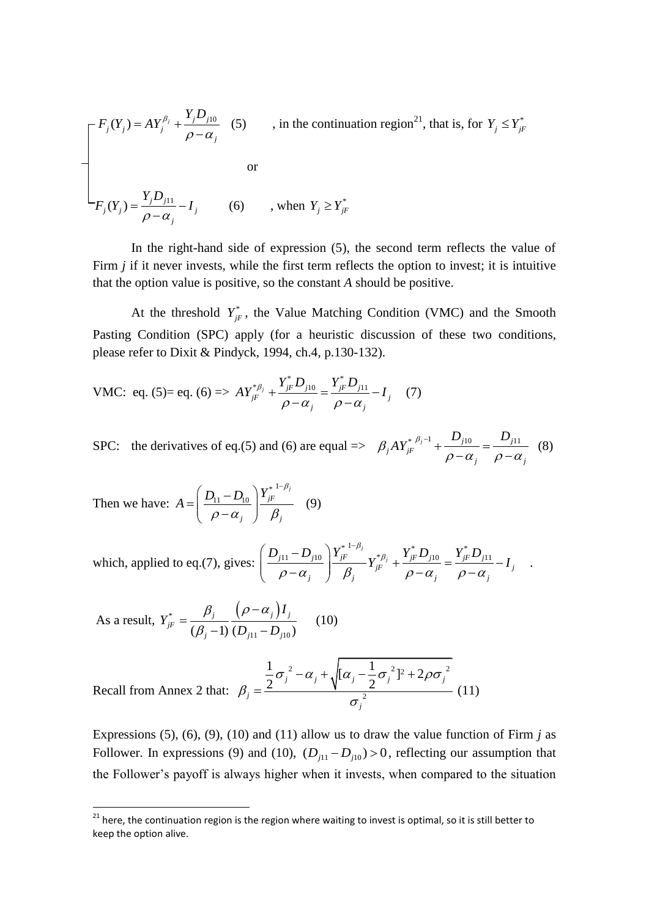$$
\begin{bmatrix}\nF_j(Y_j) = AY_j^{\beta_j} + \frac{Y_j D_{j10}}{\rho - \alpha_j} & (5) & , \text{ in the continuation region}^{21}, \text{ that is, for } Y_j \le Y_{jF}^* \\
\text{or} \\
F_j(Y_j) = \frac{Y_j D_{j11}}{\rho - \alpha_j} - I_j & (6) & , \text{ when } Y_j \ge Y_{jF}^*\n\end{bmatrix}
$$

In the right-hand side of expression (5), the second term reflects the value of Firm *j* if it never invests, while the first term reflects the option to invest; it is intuitive that the option value is positive, so the constant *A* should be positive.

At the threshold  $Y_{jF}^*$ , the Value Matching Condition (VMC) and the Smooth Pasting Condition (SPC) apply (for a heuristic discussion of these two conditions, please refer to Dixit & Pindyck, 1994, ch.4, p.130-132).

VMC: eq. (5)= eq. (6) 
$$
\Rightarrow A Y_{jF}^{*\beta_j} + \frac{Y_{jF}^* D_{j10}}{\rho - \alpha_j} = \frac{Y_{jF}^* D_{j11}}{\rho - \alpha_j} - I_j
$$
 (7)

SPC: the derivatives of eq.(5) and (6) are equal  $\Rightarrow \beta_i A Y_{iF}^{*\beta_j-1} + \frac{D_{j10}}{\beta_j} = \frac{D_{j11}}{\beta_j}$  $_{j}AY_{jF}^{\ast}$ *j*  $\rho - \alpha_j$  $\beta_j A Y_{jF}^{* \beta_j - 1} + \frac{D_{j10}}{\rho - \alpha_j} = \frac{D_{j11}}{\rho - \alpha_j}$  $\frac{\Sigma_{j10}}{-\alpha_j} = \frac{\Sigma_{j11}}{\rho - \alpha_j}$  (8)

Then we have: 
$$
A = \left(\frac{D_{11} - D_{10}}{\rho - \alpha_j}\right) \frac{Y_{jF}^{*1-\beta_j}}{\beta_j}
$$
 (9)

which, applied to eq.(7), gives: 
$$
\left(\frac{D_{j11} - D_{j10}}{\rho - \alpha_j}\right) \frac{Y_{jF}^{*}}{\beta_j} Y_{jF}^{*} + \frac{Y_{jF}^* D_{j10}}{\rho - \alpha_j} = \frac{Y_{jF}^* D_{j11}}{\rho - \alpha_j} - I_j.
$$

As a result, 
$$
Y_{jF}^* = \frac{\beta_j}{(\beta_j - 1)} \frac{(\rho - \alpha_j)I_j}{(D_{j11} - D_{j10})}
$$
 (10)

1

Recall from Annex 2 that: 
$$
\beta_j = \frac{\frac{1}{2}\sigma_j^2 - \alpha_j + \sqrt{[\alpha_j - \frac{1}{2}\sigma_j^2]^2 + 2\rho\sigma_j^2}}{\sigma_j^2}
$$
(11)

Expressions (5), (6), (9), (10) and (11) allow us to draw the value function of Firm *j* as Follower. In expressions (9) and (10),  $(D_{j11} - D_{j10}) > 0$ , reflecting our assumption that the Follower"s payoff is always higher when it invests, when compared to the situation

<sup>&</sup>lt;sup>21</sup> here, the continuation region is the region where waiting to invest is optimal, so it is still better to keep the option alive.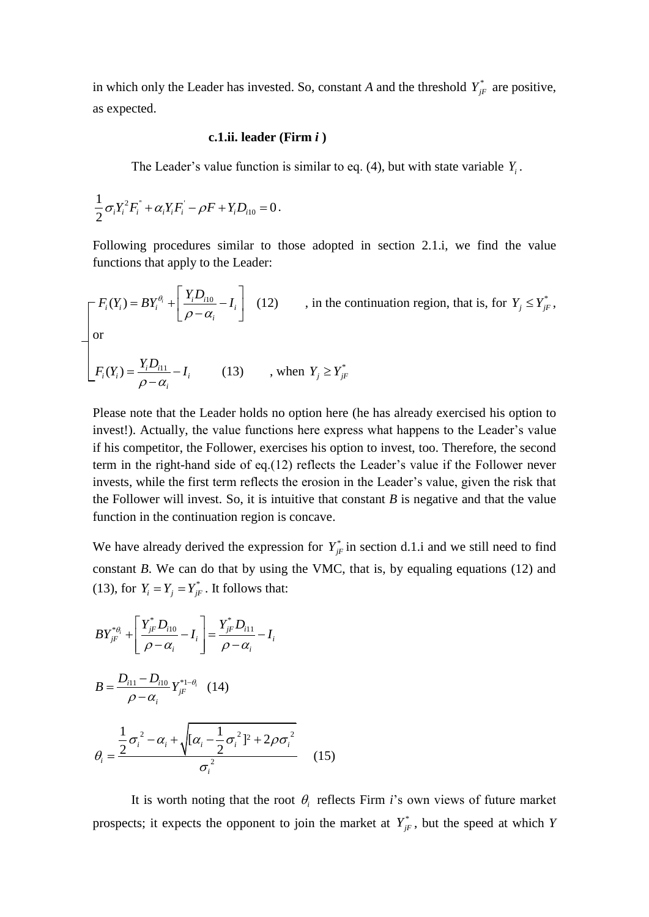in which only the Leader has invested. So, constant *A* and the threshold  $Y_{jF}^*$  are positive, as expected.

## **c.1.ii. leader (Firm** *i* **)**

The Leader's value function is similar to eq. (4), but with state variable  $Y_i$ .

$$
\frac{1}{2}\sigma_i Y_i^2 F_i^{\dagger} + \alpha_i Y_i F_i^{\dagger} - \rho F + Y_i D_{i10} = 0.
$$

Following procedures similar to those adopted in section 2.1.i, we find the value functions that apply to the Leader:

$$
\begin{bmatrix}\nF_i(Y_i) = BY_i^{\theta_i} + \left[\frac{Y_i D_{i10}}{\rho - \alpha_i} - I_i\right] & (12) & , \text{ in the continuation region, that is, for } Y_j \le Y_{jF}^*, \\
\text{or} \\
F_i(Y_i) = \frac{Y_i D_{i11}}{\rho - \alpha_i} - I_i & (13) & , \text{ when } Y_j \ge Y_{jF}^*\n\end{bmatrix}
$$

Please note that the Leader holds no option here (he has already exercised his option to invest!). Actually, the value functions here express what happens to the Leader's value if his competitor, the Follower, exercises his option to invest, too. Therefore, the second term in the right-hand side of eq.(12) reflects the Leader"s value if the Follower never invests, while the first term reflects the erosion in the Leader"s value, given the risk that the Follower will invest. So, it is intuitive that constant  $B$  is negative and that the value function in the continuation region is concave.

We have already derived the expression for  $Y_{jF}^*$  in section d.1.i and we still need to find constant *B*. We can do that by using the VMC, that is, by equaling equations (12) and (13), for  $Y_i = Y_j = Y_{jF}^*$ . It follows that:

$$
BY_{jF}^{* \theta_{i}} + \left[\frac{Y_{jF}^{*} D_{i10}}{\rho - \alpha_{i}} - I_{i}\right] = \frac{Y_{jF}^{*} D_{i11}}{\rho - \alpha_{i}} - I_{i}
$$
\n
$$
B = \frac{D_{i11} - D_{i10}}{\rho - \alpha_{i}} Y_{jF}^{*1 - \theta_{i}} \quad (14)
$$
\n
$$
\theta_{i} = \frac{\frac{1}{2} \sigma_{i}^{2} - \alpha_{i} + \sqrt{[\alpha_{i} - \frac{1}{2} \sigma_{i}^{2}]^{2} + 2\rho \sigma_{i}^{2}}}{\sigma_{i}^{2}} \quad (15)
$$

It is worth noting that the root  $\theta_i$  reflects Firm *i*'s own views of future market prospects; it expects the opponent to join the market at  $Y_{jF}^*$ , but the speed at which *Y*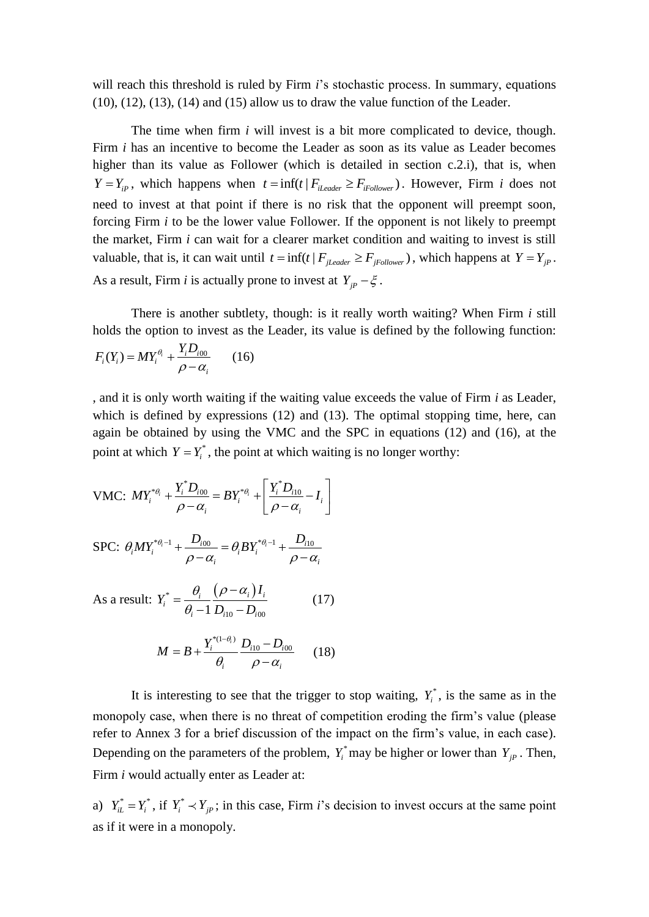will reach this threshold is ruled by Firm *i*'s stochastic process. In summary, equations  $(10)$ ,  $(12)$ ,  $(13)$ ,  $(14)$  and  $(15)$  allow us to draw the value function of the Leader.

The time when firm *i* will invest is a bit more complicated to device, though. Firm *i* has an incentive to become the Leader as soon as its value as Leader becomes higher than its value as Follower (which is detailed in section c.2.i), that is, when  $Y = Y_{ip}$ , which happens when  $t = \inf(t | F_{iLeader} \ge F_{iFollower})$ . However, Firm *i* does not need to invest at that point if there is no risk that the opponent will preempt soon, forcing Firm *i* to be the lower value Follower. If the opponent is not likely to preempt the market, Firm *i* can wait for a clearer market condition and waiting to invest is still valuable, that is, it can wait until  $t = \inf(t | F_{jLeader} \geq F_{jFollower})$ , which happens at  $Y = Y_{jp}$ . As a result, Firm *i* is actually prone to invest at  $Y_{jp} - \xi$ .

There is another subtlety, though: is it really worth waiting? When Firm *i* still holds the option to invest as the Leader, its value is defined by the following function:

$$
F_i(Y_i) = MY_i^{\theta_i} + \frac{Y_i D_{i00}}{\rho - \alpha_i} \qquad (16)
$$

, and it is only worth waiting if the waiting value exceeds the value of Firm *i* as Leader, which is defined by expressions (12) and (13). The optimal stopping time, here, can again be obtained by using the VMC and the SPC in equations (12) and (16), at the point at which  $Y = Y_i^*$ , the point at which waiting is no longer worthy:

VMC: 
$$
MY_i^{* \theta_i} + \frac{Y_i^* D_{i00}}{\rho - \alpha_i} = BY_i^{* \theta_i} + \left[ \frac{Y_i^* D_{i10}}{\rho - \alpha_i} - I_i \right]
$$

$$
\text{SPC: } \theta_i M Y_i^{* \theta_i - 1} + \frac{D_{i00}}{\rho - \alpha_i} = \theta_i B Y_i^{* \theta_i - 1} + \frac{D_{i10}}{\rho - \alpha_i}
$$

As a result: 
$$
Y_i^* = \frac{\theta_i}{\theta_i - 1} \frac{(\rho - \alpha_i) I_i}{D_{i10} - D_{i00}}
$$
 (17)

$$
M = B + \frac{Y_i^{*(1-\theta_i)}}{\theta_i} \frac{D_{i10} - D_{i00}}{\rho - \alpha_i} \qquad (18)
$$

It is interesting to see that the trigger to stop waiting,  $Y_i^*$ , is the same as in the monopoly case, when there is no threat of competition eroding the firm"s value (please refer to Annex 3 for a brief discussion of the impact on the firm's value, in each case). Depending on the parameters of the problem,  $Y_i^*$  may be higher or lower than  $Y_{jP}$ . Then, Firm *i* would actually enter as Leader at:

a)  $Y_{iL}^* = Y_i^*$ , if  $Y_i^* \prec Y_{jP}$ ; in this case, Firm *i*'s decision to invest occurs at the same point as if it were in a monopoly.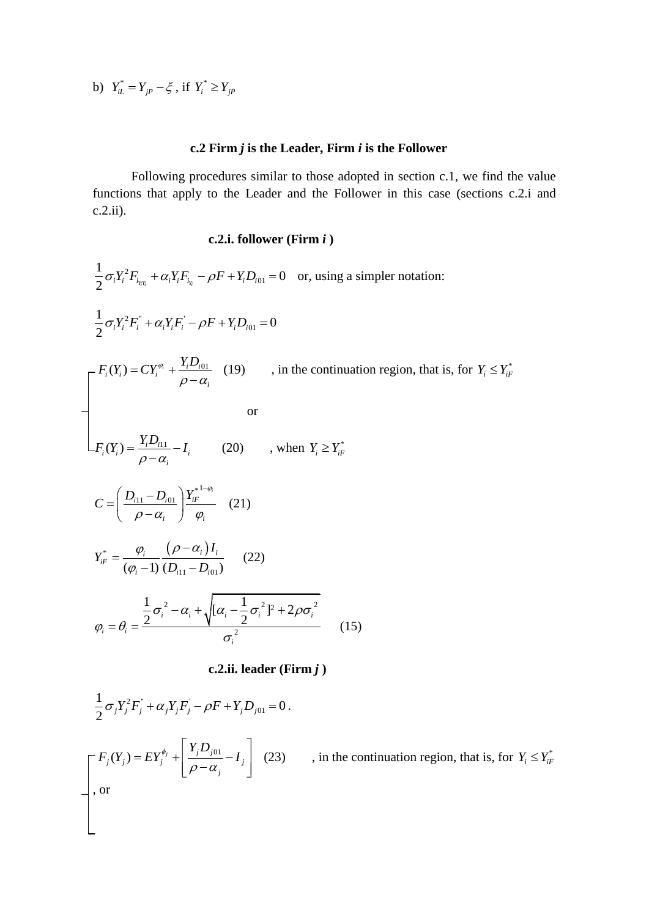b) 
$$
Y_{iL}^* = Y_{jP} - \xi
$$
, if  $Y_i^* \ge Y_{jP}$ 

# **c.2 Firm** *j* **is the Leader, Firm** *i* **is the Follower**

Following procedures similar to those adopted in section c.1, we find the value functions that apply to the Leader and the Follower in this case (sections c.2.i and c.2.ii).

# **c.2.i. follower (Firm** *i* **)**

$$
\frac{1}{2}\sigma_{i}Y_{i}^{2}F_{i_{N_{i}}} + \alpha_{i}Y_{i}F_{i_{N}} - \rho F + Y_{i}D_{i01} = 0 \text{ or, using a simpler notation:}
$$
\n
$$
\frac{1}{2}\sigma_{i}Y_{i}^{2}F_{i}^{*} + \alpha_{i}Y_{i}F_{i}^{*} - \rho F + Y_{i}D_{i01} = 0
$$
\n
$$
\int_{0}^{T_{i}}\left(\frac{Y_{i}}{Y_{i}}\right) = CY_{i}^{\varphi_{i}} + \frac{Y_{i}D_{i01}}{\rho - \alpha_{i}} \quad (19) \qquad \text{, in the continuation region, that is, for } Y_{i} \leq Y_{i}^{*}
$$
\n
$$
\int_{0}^{T_{i}}\left(\frac{Y_{i}}{Y_{i}}\right) = \frac{Y_{i}D_{i11}}{\rho - \alpha_{i}} - I_{i} \qquad (20) \qquad \text{, when } Y_{i} \geq Y_{i}^{*}
$$
\n
$$
C = \left(\frac{D_{i11} - D_{i01}}{\rho - \alpha_{i}}\right) \frac{Y_{i}^{*}}{\varphi_{i}} \qquad (21)
$$
\n
$$
Y_{iF}^{*} = \frac{\varphi_{i}}{(\varphi_{i} - 1)} \frac{(\rho - \alpha_{i})I_{i}}{(D_{i11} - D_{i01})} \qquad (22)
$$
\n
$$
\varphi_{i} = \theta_{i} = \frac{\frac{1}{2}\sigma_{i}^{2} - \alpha_{i} + \sqrt{[\alpha_{i} - \frac{1}{2}\sigma_{i}^{2}]^{2} + 2\rho\sigma_{i}^{2}}}{\sigma_{i}^{2}} \qquad (15)
$$

 $c.2$ .ii. leader (Firm $j$ )

$$
\frac{1}{2}\sigma_j Y_j^2 F_j^* + \alpha_j Y_j F_j^* - \rho F + Y_j D_{j01} = 0.
$$
\n
$$
\begin{bmatrix} F_j(Y_j) = EY_j^{\phi_j} + \left[ \frac{Y_j D_{j01}}{\rho - \alpha_j} - I_j \right] & (23) \\ \text{or} \\ \end{bmatrix}
$$
, in the continuation region, that is, for  $Y_i \leq Y_{ij}^*$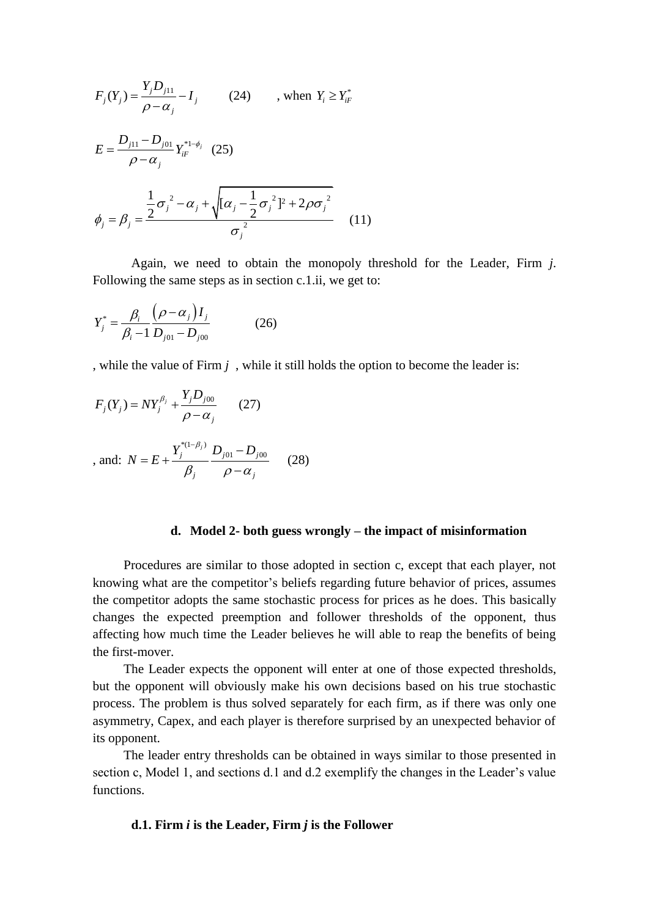$$
F_j(Y_j) = \frac{Y_j D_{j11}}{\rho - \alpha_j} - I_j \qquad (24) \qquad \text{, when } Y_i \ge Y_{iF}^*
$$
  
\n
$$
E = \frac{D_{j11} - D_{j01}}{\rho - \alpha_j} Y_{iF}^{*1-\phi_j} \quad (25)
$$
  
\n
$$
\phi_j = \beta_j = \frac{\frac{1}{2} \sigma_j^2 - \alpha_j + \sqrt{[\alpha_j - \frac{1}{2} \sigma_j^2]^2 + 2\rho \sigma_j^2}}{\sigma_j^2} \quad (11)
$$

Again, we need to obtain the monopoly threshold for the Leader, Firm *j*. Following the same steps as in section c.1.ii, we get to:

$$
Y_j^* = \frac{\beta_i}{\beta_i - 1} \frac{(\rho - \alpha_j) I_j}{D_{j01} - D_{j00}}
$$
 (26)

, while the value of Firm *j* , while it still holds the option to become the leader is:

$$
F_j(Y_j) = NY_j^{\beta_j} + \frac{Y_j D_{j00}}{\rho - \alpha_j}
$$
 (27)  
, and:  $N = E + \frac{Y_j^{*(1-\beta_j)}}{\beta_j} \frac{D_{j01} - D_{j00}}{\rho - \alpha_j}$  (28)

### **d. Model 2- both guess wrongly – the impact of misinformation**

Procedures are similar to those adopted in section c, except that each player, not knowing what are the competitor"s beliefs regarding future behavior of prices, assumes the competitor adopts the same stochastic process for prices as he does. This basically changes the expected preemption and follower thresholds of the opponent, thus affecting how much time the Leader believes he will able to reap the benefits of being the first-mover.

The Leader expects the opponent will enter at one of those expected thresholds, but the opponent will obviously make his own decisions based on his true stochastic process. The problem is thus solved separately for each firm, as if there was only one asymmetry, Capex, and each player is therefore surprised by an unexpected behavior of its opponent.

The leader entry thresholds can be obtained in ways similar to those presented in section c, Model 1, and sections d.1 and d.2 exemplify the changes in the Leader's value functions.

### **d.1. Firm** *i* **is the Leader, Firm** *j* **is the Follower**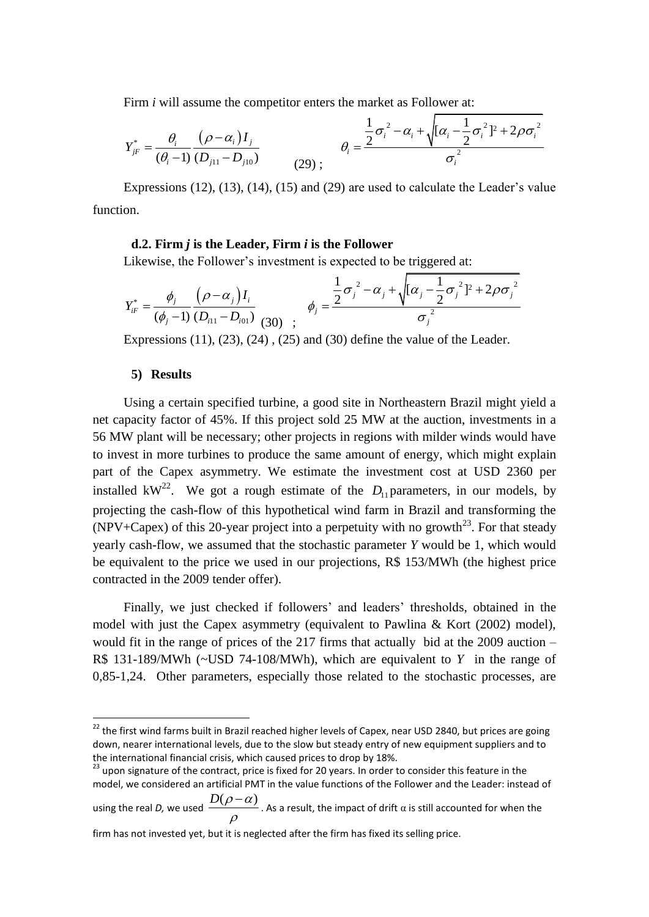Firm *i* will assume the competitor enters the market as Follower at:  
\n
$$
Y_{jF}^* = \frac{\theta_i}{(\theta_i - 1)} \frac{(\rho - \alpha_i)I_j}{(D_{j11} - D_{j10})}
$$
\n
$$
\theta_i = \frac{\frac{1}{2}\sigma_i^2 - \alpha_i + \sqrt{[\alpha_i - \frac{1}{2}\sigma_i^2]^2 + 2\rho\sigma_i^2}}{\sigma_i^2}
$$

Expressions  $(12)$ ,  $(13)$ ,  $(14)$ ,  $(15)$  and  $(29)$  are used to calculate the Leader's value function.

## **d.2. Firm** *j* **is the Leader, Firm** *i* **is the Follower**

Likewise, the Follower's investment is expected to be triggered at:  
\n
$$
Y_{iF}^* = \frac{\phi_j}{(\phi_j - 1)} \frac{(\rho - \alpha_j)I_i}{(D_{i11} - D_{i01})} \frac{1}{(30)} \frac{1}{(\phi_j - 2)} \frac{1}{(\phi_j - \phi_j)} \frac{1}{(\phi_j - \phi_j)^2} = \frac{\phi_j}{\phi_j^2}
$$

Expressions  $(11)$ ,  $(23)$ ,  $(24)$ ,  $(25)$  and  $(30)$  define the value of the Leader.

### **5) Results**

**.** 

Using a certain specified turbine, a good site in Northeastern Brazil might yield a net capacity factor of 45%. If this project sold 25 MW at the auction, investments in a 56 MW plant will be necessary; other projects in regions with milder winds would have to invest in more turbines to produce the same amount of energy, which might explain part of the Capex asymmetry. We estimate the investment cost at USD 2360 per installed kW<sup>22</sup>. We got a rough estimate of the  $D_{11}$  parameters, in our models, by projecting the cash-flow of this hypothetical wind farm in Brazil and transforming the (NPV+Capex) of this 20-year project into a perpetuity with no growth<sup>23</sup>. For that steady yearly cash-flow, we assumed that the stochastic parameter *Y* would be 1, which would be equivalent to the price we used in our projections, R\$ 153/MWh (the highest price contracted in the 2009 tender offer).

Finally, we just checked if followers' and leaders' thresholds, obtained in the model with just the Capex asymmetry (equivalent to Pawlina & Kort (2002) model), would fit in the range of prices of the 217 firms that actually bid at the 2009 auction – R\$ 131-189/MWh (~USD 74-108/MWh), which are equivalent to *Y* in the range of 0,85-1,24. Other parameters, especially those related to the stochastic processes, are

<sup>&</sup>lt;sup>22</sup> the first wind farms built in Brazil reached higher levels of Capex, near USD 2840, but prices are going down, nearer international levels, due to the slow but steady entry of new equipment suppliers and to the international financial crisis, which caused prices to drop by 18%.

<sup>&</sup>lt;sup>23</sup> upon signature of the contract, price is fixed for 20 years. In order to consider this feature in the model, we considered an artificial PMT in the value functions of the Follower and the Leader: instead of

using the real *D*, we used  $\frac{D(\rho - \alpha)}{2}$  $\rho$  $\frac{1-\alpha)}{\alpha}$  . As a result, the impact of drift  $\alpha$  is still accounted for when the

firm has not invested yet, but it is neglected after the firm has fixed its selling price.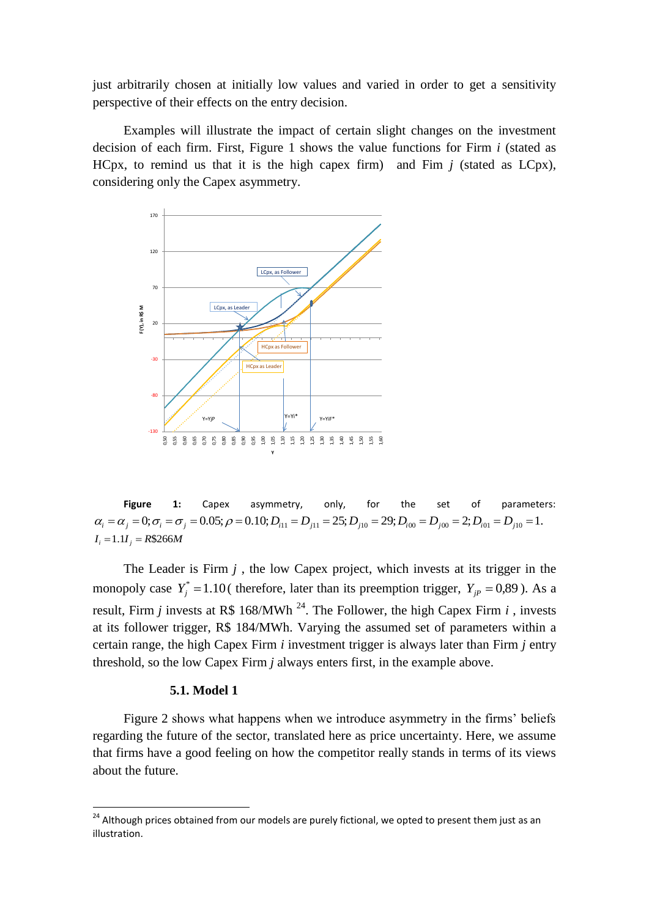just arbitrarily chosen at initially low values and varied in order to get a sensitivity perspective of their effects on the entry decision.

Examples will illustrate the impact of certain slight changes on the investment decision of each firm. First, Figure 1 shows the value functions for Firm *i* (stated as HCpx, to remind us that it is the high capex firm) and Fim *j* (stated as LCpx), considering only the Capex asymmetry.



**Figure 1:** Capex asymmetry, only, for the set of parameters: **ii** *i i i i i i capex* asymmetry, only, for the set of parameters:<br>  $\alpha_i = \alpha_j = 0; \sigma_i = \sigma_j = 0.05; \rho = 0.10; D_{i11} = D_{j11} = 25; D_{j10} = 29; D_{i00} = D_{j00} = 2; D_{i01} = D_{j10} = 1.$ <br>  $I_i = 1.1I_j = R$266M$  $I_i = 1.1 I_i = R\$ 366M

The Leader is Firm  $j$ , the low Capex project, which invests at its trigger in the monopoly case  $Y_j^* = 1.10$  (therefore, later than its preemption trigger,  $Y_{jP} = 0.89$ ). As a result, Firm *j* invests at R\$ 168/MWh<sup>24</sup>. The Follower, the high Capex Firm *i*, invests at its follower trigger, R\$ 184/MWh. Varying the assumed set of parameters within a certain range, the high Capex Firm *i* investment trigger is always later than Firm *j* entry threshold, so the low Capex Firm *j* always enters first, in the example above.

#### **5.1. Model 1**

1

Figure 2 shows what happens when we introduce asymmetry in the firms" beliefs regarding the future of the sector, translated here as price uncertainty. Here, we assume that firms have a good feeling on how the competitor really stands in terms of its views about the future.

<sup>&</sup>lt;sup>24</sup> Although prices obtained from our models are purely fictional, we opted to present them just as an illustration.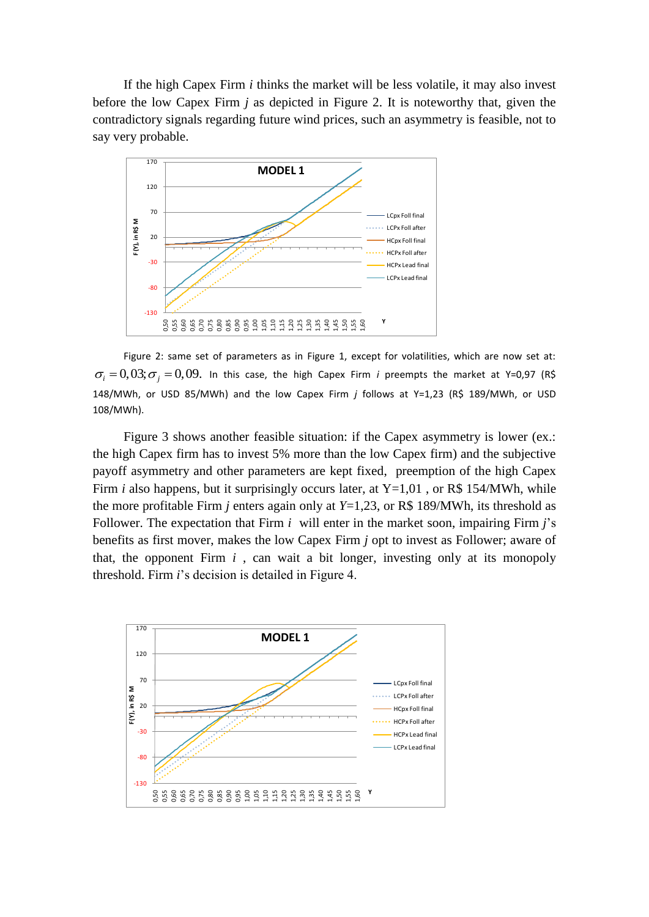If the high Capex Firm *i* thinks the market will be less volatile, it may also invest before the low Capex Firm *j* as depicted in Figure 2. It is noteworthy that, given the contradictory signals regarding future wind prices, such an asymmetry is feasible, not to say very probable.



Figure 2: same set of parameters as in Figure 1, except for volatilities, which are now set at:  $\sigma_i = 0,03; \sigma_j = 0,09$ . In this case, the high Capex Firm *i* preempts the market at Y=0,97 (R\$ 148/MWh, or USD 85/MWh) and the low Capex Firm *j* follows at Y=1,23 (R\$ 189/MWh, or USD 108/MWh).

Figure 3 shows another feasible situation: if the Capex asymmetry is lower (ex.: the high Capex firm has to invest 5% more than the low Capex firm) and the subjective payoff asymmetry and other parameters are kept fixed, preemption of the high Capex Firm *i* also happens, but it surprisingly occurs later, at Y=1,01, or R\$ 154/MWh, while the more profitable Firm *j* enters again only at  $Y=1,23$ , or R\$ 189/MWh, its threshold as Follower. The expectation that Firm *i* will enter in the market soon, impairing Firm *j*"s benefits as first mover, makes the low Capex Firm *j* opt to invest as Follower; aware of that, the opponent Firm  $i$ , can wait a bit longer, investing only at its monopoly threshold. Firm *i*"s decision is detailed in Figure 4.

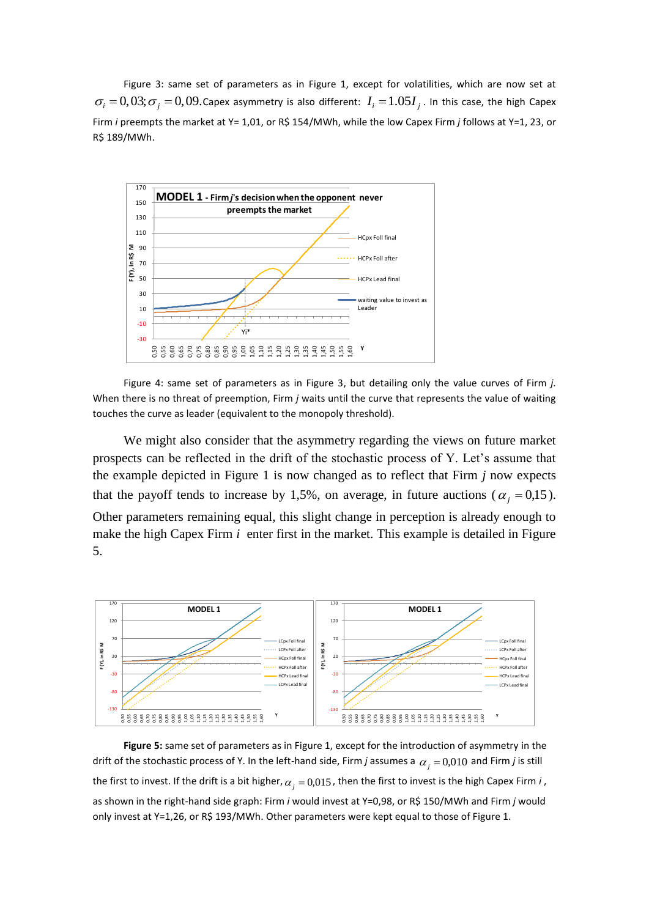Figure 3: same set of parameters as in Figure 1, except for volatilities, which are now set at  $\sigma_i = 0,03; \sigma_j = 0,09$ . Capex asymmetry is also different:  $I_i = 1.05 I_j$ . In this case, the high Capex Firm *i* preempts the market at Y= 1,01, or R\$ 154/MWh, while the low Capex Firm *j* follows at Y=1, 23, or R\$ 189/MWh.



Figure 4: same set of parameters as in Figure 3, but detailing only the value curves of Firm *j.*  When there is no threat of preemption, Firm *j* waits until the curve that represents the value of waiting touches the curve as leader (equivalent to the monopoly threshold).

We might also consider that the asymmetry regarding the views on future market prospects can be reflected in the drift of the stochastic process of Y. Let's assume that the example depicted in Figure 1 is now changed as to reflect that Firm *j* now expects that the payoff tends to increase by 1,5%, on average, in future auctions ( $\alpha_j = 0.15$ ). Other parameters remaining equal, this slight change in perception is already enough to make the high Capex Firm *i* enter first in the market. This example is detailed in Figure 5.



**Figure 5:** same set of parameters as in Figure 1, except for the introduction of asymmetry in the drift of the stochastic process of Y. In the left-hand side, Firm *j* assumes a  $\alpha_j = 0,010$  and Firm *j* is still the first to invest. If the drift is a bit higher,  $\alpha_{j} = 0.015$  , then the first to invest is the high Capex Firm *i* , as shown in the right-hand side graph: Firm *i* would invest at Y=0,98, or R\$ 150/MWh and Firm *j* would only invest at Y=1,26, or R\$ 193/MWh. Other parameters were kept equal to those of Figure 1.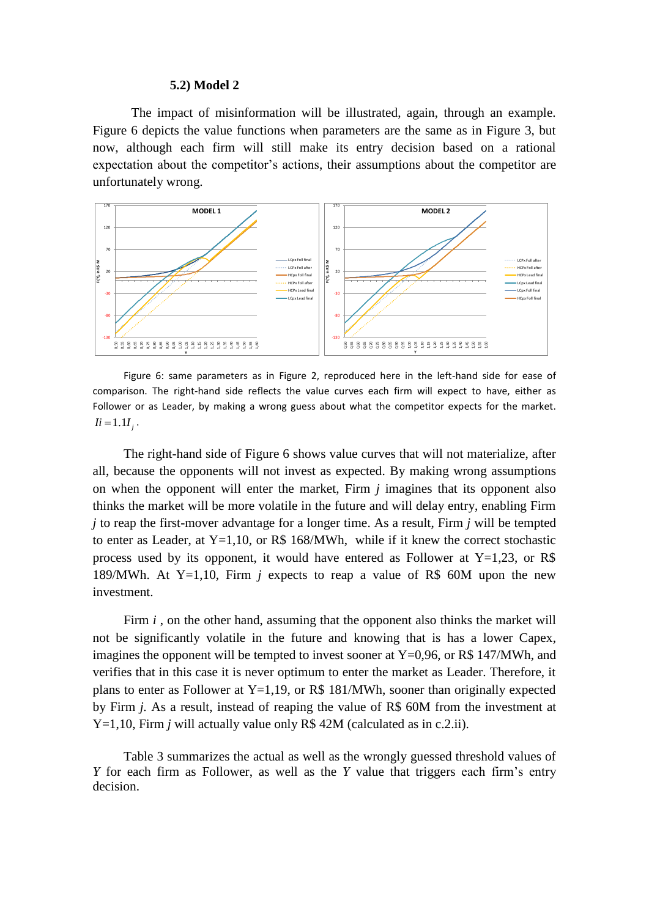#### **5.2) Model 2**

The impact of misinformation will be illustrated, again, through an example. Figure 6 depicts the value functions when parameters are the same as in Figure 3, but now, although each firm will still make its entry decision based on a rational expectation about the competitor's actions, their assumptions about the competitor are unfortunately wrong.



Figure 6: same parameters as in Figure 2, reproduced here in the left-hand side for ease of comparison. The right-hand side reflects the value curves each firm will expect to have, either as Follower or as Leader, by making a wrong guess about what the competitor expects for the market.  $I = 1.1 I_j$ .

The right-hand side of Figure 6 shows value curves that will not materialize, after all, because the opponents will not invest as expected. By making wrong assumptions on when the opponent will enter the market, Firm *j* imagines that its opponent also thinks the market will be more volatile in the future and will delay entry, enabling Firm *j* to reap the first-mover advantage for a longer time. As a result, Firm *j* will be tempted to enter as Leader, at  $Y=1,10$ , or R\$ 168/MWh, while if it knew the correct stochastic process used by its opponent, it would have entered as Follower at  $Y=1,23$ , or R\$ 189/MWh. At Y=1,10, Firm *j* expects to reap a value of R\$ 60M upon the new investment.

Firm *i*, on the other hand, assuming that the opponent also thinks the market will not be significantly volatile in the future and knowing that is has a lower Capex, imagines the opponent will be tempted to invest sooner at  $Y=0.96$ , or R\$ 147/MWh, and verifies that in this case it is never optimum to enter the market as Leader. Therefore, it plans to enter as Follower at Y=1,19, or R\$ 181/MWh, sooner than originally expected by Firm *j.* As a result, instead of reaping the value of R\$ 60M from the investment at Y=1,10, Firm *j* will actually value only R\$ 42M (calculated as in c.2.ii).

Table 3 summarizes the actual as well as the wrongly guessed threshold values of *Y* for each firm as Follower, as well as the *Y* value that triggers each firm"s entry decision.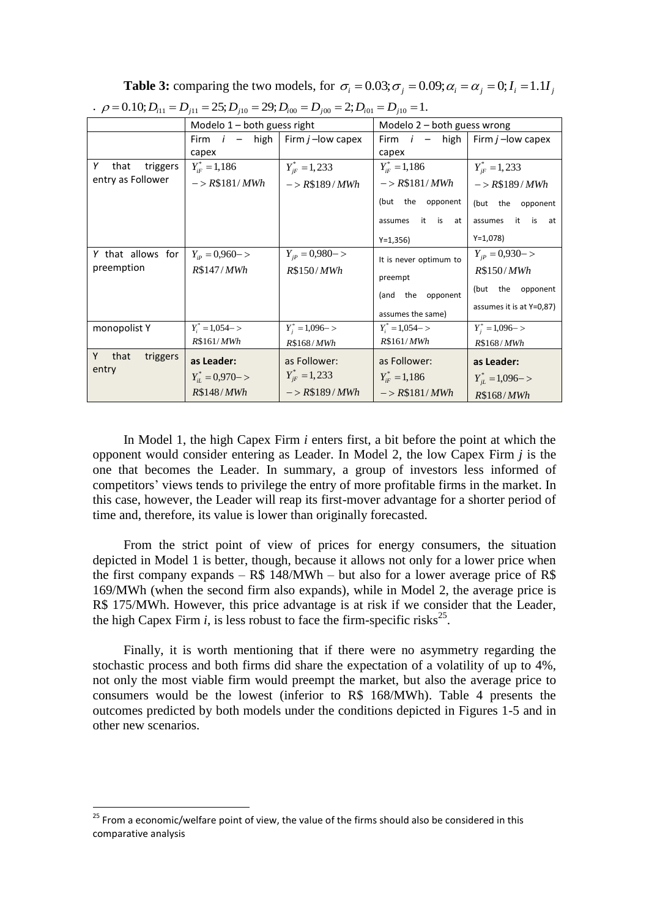|                                            | Modelo $1 -$ both guess right |                           | Modelo 2 - both guess wrong |                          |  |  |  |  |
|--------------------------------------------|-------------------------------|---------------------------|-----------------------------|--------------------------|--|--|--|--|
|                                            | - high<br>Firm <i>i</i>       | Firm $j$ –low capex       | Firm $i - h$ igh            | Firm $j$ –low capex      |  |  |  |  |
|                                            | capex                         |                           | capex                       |                          |  |  |  |  |
| Υ<br>that<br>triggers<br>entry as Follower | $Y_{iF}^* = 1,186$            | $Y_{ir}^* = 1,233$        | $Y_{iF}^* = 1,186$          | $Y_{iF}^* = 1,233$       |  |  |  |  |
|                                            | $-> R$181/MWh$                | $-> R$189/MWh$            | $-> R$181/MWh$              | $-> R$189/MWh$           |  |  |  |  |
|                                            |                               |                           | (but the<br>opponent        | (but the opponent        |  |  |  |  |
|                                            |                               |                           | is at<br>it<br>assumes      | it is<br>assumes<br>at   |  |  |  |  |
|                                            |                               |                           | $Y=1,356$                   | $Y=1,078$                |  |  |  |  |
| Y that allows for                          | $Y_{ip} = 0.960 -$            | $Y_{ip} = 0.980 - >$      | It is never optimum to      | $Y_{ip} = 0.930 - >$     |  |  |  |  |
| preemption                                 | R\$147/MWh                    | R\$150/ <i>MWh</i>        | preempt                     | R\$150/ <i>MWh</i>       |  |  |  |  |
|                                            |                               |                           | (and the<br>opponent        | (but the<br>opponent     |  |  |  |  |
|                                            |                               |                           | assumes the same)           | assumes it is at Y=0,87) |  |  |  |  |
| monopolist Y                               | $Y_i^* = 1,054 - >$           | $Y_i^* = 1,096 - >$       | $Y_i^* = 1,054 - >$         | $Y_i^* = 1,096 - >$      |  |  |  |  |
|                                            | R\$161/ <i>MWh</i>            | R\$168/MWh                | R\$161/ <i>MWh</i>          | R\$168/MWh               |  |  |  |  |
| Y<br>that<br>triggers                      | as Leader:                    | as Follower:              | as Follower:                | as Leader:               |  |  |  |  |
| entry                                      | $Y_{iL}^* = 0.970 - >$        | $Y_{\text{IF}}^* = 1,233$ | $Y_{iF}^* = 1,186$          | $Y_{iL}^* = 1,096 - >$   |  |  |  |  |
|                                            | R\$148/MWh                    | $-> R$189/MWh$            | $-> R$181/MWh$              | R\$168/ <i>MWh</i>       |  |  |  |  |

**Table 3:** comparing the two models, for  $\sigma_i = 0.03; \sigma_j = 0.09; \alpha_i = \alpha_j = 0; I_i = 1.1I_j$ <br>  $\cdot \rho = 0.10; D_{i11} = D_{j11} = 25; D_{j10} = 29; D_{i00} = D_{j00} = 2; D_{i01} = D_{j10} = 1.$ 

In Model 1, the high Capex Firm *i* enters first, a bit before the point at which the opponent would consider entering as Leader. In Model 2, the low Capex Firm *j* is the one that becomes the Leader. In summary, a group of investors less informed of competitors" views tends to privilege the entry of more profitable firms in the market. In this case, however, the Leader will reap its first-mover advantage for a shorter period of time and, therefore, its value is lower than originally forecasted.

From the strict point of view of prices for energy consumers, the situation depicted in Model 1 is better, though, because it allows not only for a lower price when the first company expands  $-$  R\$ 148/MWh  $-$  but also for a lower average price of R\$ 169/MWh (when the second firm also expands), while in Model 2, the average price is R\$ 175/MWh. However, this price advantage is at risk if we consider that the Leader, the high Capex Firm  $i$ , is less robust to face the firm-specific risks<sup>25</sup>.

Finally, it is worth mentioning that if there were no asymmetry regarding the stochastic process and both firms did share the expectation of a volatility of up to 4%, not only the most viable firm would preempt the market, but also the average price to consumers would be the lowest (inferior to R\$ 168/MWh). Table 4 presents the outcomes predicted by both models under the conditions depicted in Figures 1-5 and in other new scenarios.

1

<sup>&</sup>lt;sup>25</sup> From a economic/welfare point of view, the value of the firms should also be considered in this comparative analysis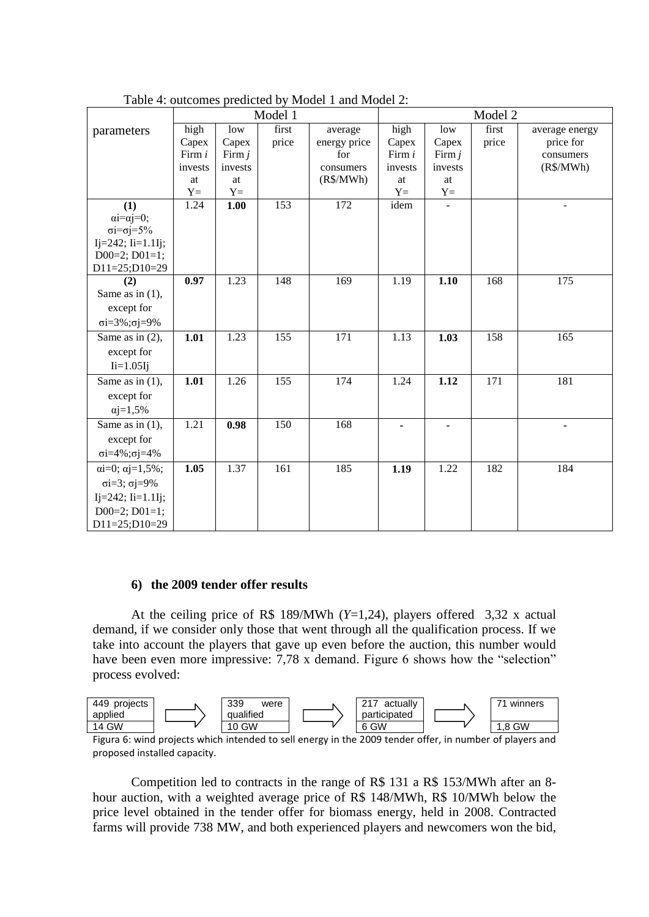|                                            | Model 1 |          | Model 2 |              |         |                     |       |                |
|--------------------------------------------|---------|----------|---------|--------------|---------|---------------------|-------|----------------|
| parameters                                 | high    | low      | first   | average      | high    | low                 | first | average energy |
|                                            | Capex   | Capex    | price   | energy price | Capex   | Capex               | price | price for      |
|                                            | Firm i  | Firm $j$ |         | for          | Firm i  | Firm $j$            |       | consumers      |
|                                            | invests | invests  |         | consumers    | invests | invests             |       | (R\$/MWh)      |
|                                            | at      | at       |         | (R\$/MWh)    | at      | $\operatorname{at}$ |       |                |
|                                            | $Y =$   | $Y =$    |         |              | $Y =$   | $Y =$               |       |                |
| (1)                                        | 1.24    | 1.00     | 153     | 172          | idem    |                     |       |                |
| $\alpha i = \alpha i = 0;$                 |         |          |         |              |         |                     |       |                |
| $\sigma i = \sigma j = 5\%$                |         |          |         |              |         |                     |       |                |
| $Ij=242; Ii=1.1Ij;$<br>$D00=2$ ; $D01=1$ ; |         |          |         |              |         |                     |       |                |
| D11=25;D10=29                              |         |          |         |              |         |                     |       |                |
| (2)                                        | 0.97    | 1.23     | 148     | 169          | 1.19    | 1.10                | 168   | 175            |
| Same as in $(1)$ ,                         |         |          |         |              |         |                     |       |                |
| except for                                 |         |          |         |              |         |                     |       |                |
| $\sigma i = 3\%$ ; $\sigma j = 9\%$        |         |          |         |              |         |                     |       |                |
|                                            |         |          | 155     | 171          | 1.13    |                     |       | 165            |
| Same as in $(2)$ ,                         | 1.01    | 1.23     |         |              |         | 1.03                | 158   |                |
| except for                                 |         |          |         |              |         |                     |       |                |
| $I = 1.05I$ j                              |         |          |         |              |         |                     |       |                |
| Same as in $(1)$ ,                         | 1.01    | 1.26     | 155     | 174          | 1.24    | 1.12                | 171   | 181            |
| except for                                 |         |          |         |              |         |                     |       |                |
| $\alpha j = 1,5\%$                         |         |          |         |              |         |                     |       |                |
| Same as in $(1)$ ,                         | 1.21    | 0.98     | 150     | 168          |         | ۰                   |       |                |
| except for                                 |         |          |         |              |         |                     |       |                |
| $\sigma i = 4\%$ ; $\sigma j = 4\%$        |         |          |         |              |         |                     |       |                |
| $\alpha i = 0; \alpha j = 1,5\%;$          | 1.05    | 1.37     | 161     | 185          | 1.19    | 1.22                | 182   | 184            |
| $\sigma i = 3$ ; $\sigma j = 9\%$          |         |          |         |              |         |                     |       |                |
| $Ij=242; Ii=1.1Ij;$                        |         |          |         |              |         |                     |       |                |
| $D00=2$ ; $D01=1$ ;                        |         |          |         |              |         |                     |       |                |
| $D11=25; D10=29$                           |         |          |         |              |         |                     |       |                |
|                                            |         |          |         |              |         |                     |       |                |

Table 4: outcomes predicted by Model 1 and Model 2:

## **6) the 2009 tender offer results**

At the ceiling price of R\$ 189/MWh (*Y*=1,24), players offered 3,32 x actual demand, if we consider only those that went through all the qualification process. If we take into account the players that gave up even before the auction, this number would have been even more impressive: 7,78 x demand. Figure 6 shows how the "selection" process evolved:



Figura 6: wind projects which intended to sell energy in the 2009 tender offer, in number of players and proposed installed capacity.

Competition led to contracts in the range of R\$ 131 a R\$ 153/MWh after an 8 hour auction, with a weighted average price of R\$ 148/MWh, R\$ 10/MWh below the price level obtained in the tender offer for biomass energy, held in 2008. Contracted farms will provide 738 MW, and both experienced players and newcomers won the bid,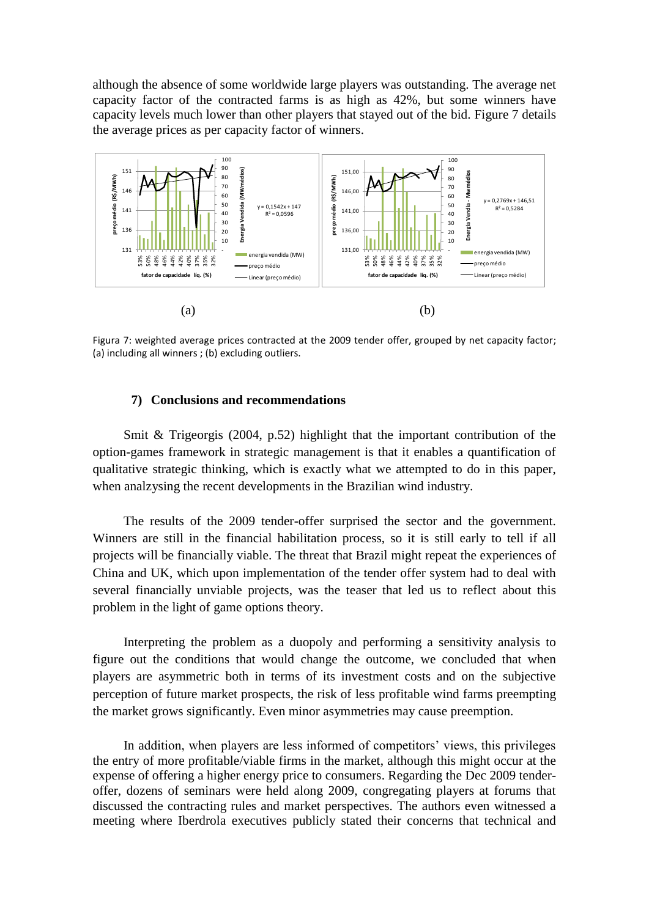although the absence of some worldwide large players was outstanding. The average net capacity factor of the contracted farms is as high as 42%, but some winners have capacity levels much lower than other players that stayed out of the bid. Figure 7 details the average prices as per capacity factor of winners.



Figura 7: weighted average prices contracted at the 2009 tender offer, grouped by net capacity factor; (a) including all winners ; (b) excluding outliers.

## **7) Conclusions and recommendations**

Smit & Trigeorgis (2004, p.52) highlight that the important contribution of the option-games framework in strategic management is that it enables a quantification of qualitative strategic thinking, which is exactly what we attempted to do in this paper, when analzysing the recent developments in the Brazilian wind industry.

The results of the 2009 tender-offer surprised the sector and the government. Winners are still in the financial habilitation process, so it is still early to tell if all projects will be financially viable. The threat that Brazil might repeat the experiences of China and UK, which upon implementation of the tender offer system had to deal with several financially unviable projects, was the teaser that led us to reflect about this problem in the light of game options theory.

Interpreting the problem as a duopoly and performing a sensitivity analysis to figure out the conditions that would change the outcome, we concluded that when players are asymmetric both in terms of its investment costs and on the subjective perception of future market prospects, the risk of less profitable wind farms preempting the market grows significantly. Even minor asymmetries may cause preemption.

In addition, when players are less informed of competitors" views, this privileges the entry of more profitable/viable firms in the market, although this might occur at the expense of offering a higher energy price to consumers. Regarding the Dec 2009 tenderoffer, dozens of seminars were held along 2009, congregating players at forums that discussed the contracting rules and market perspectives. The authors even witnessed a meeting where Iberdrola executives publicly stated their concerns that technical and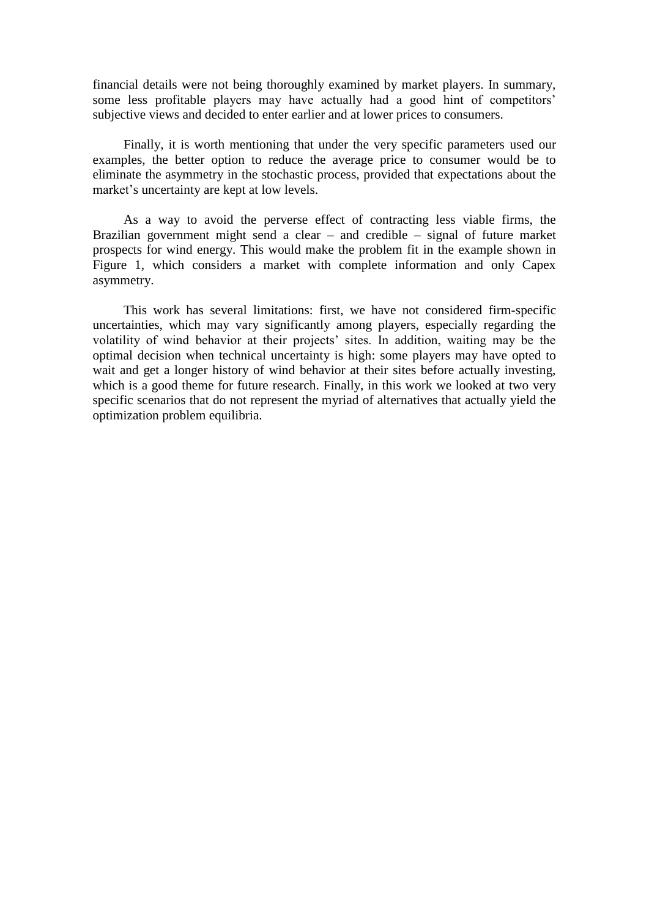financial details were not being thoroughly examined by market players. In summary, some less profitable players may have actually had a good hint of competitors' subjective views and decided to enter earlier and at lower prices to consumers.

Finally, it is worth mentioning that under the very specific parameters used our examples, the better option to reduce the average price to consumer would be to eliminate the asymmetry in the stochastic process, provided that expectations about the market's uncertainty are kept at low levels.

As a way to avoid the perverse effect of contracting less viable firms, the Brazilian government might send a clear – and credible – signal of future market prospects for wind energy. This would make the problem fit in the example shown in Figure 1, which considers a market with complete information and only Capex asymmetry.

This work has several limitations: first, we have not considered firm-specific uncertainties, which may vary significantly among players, especially regarding the volatility of wind behavior at their projects" sites. In addition, waiting may be the optimal decision when technical uncertainty is high: some players may have opted to wait and get a longer history of wind behavior at their sites before actually investing, which is a good theme for future research. Finally, in this work we looked at two very specific scenarios that do not represent the myriad of alternatives that actually yield the optimization problem equilibria.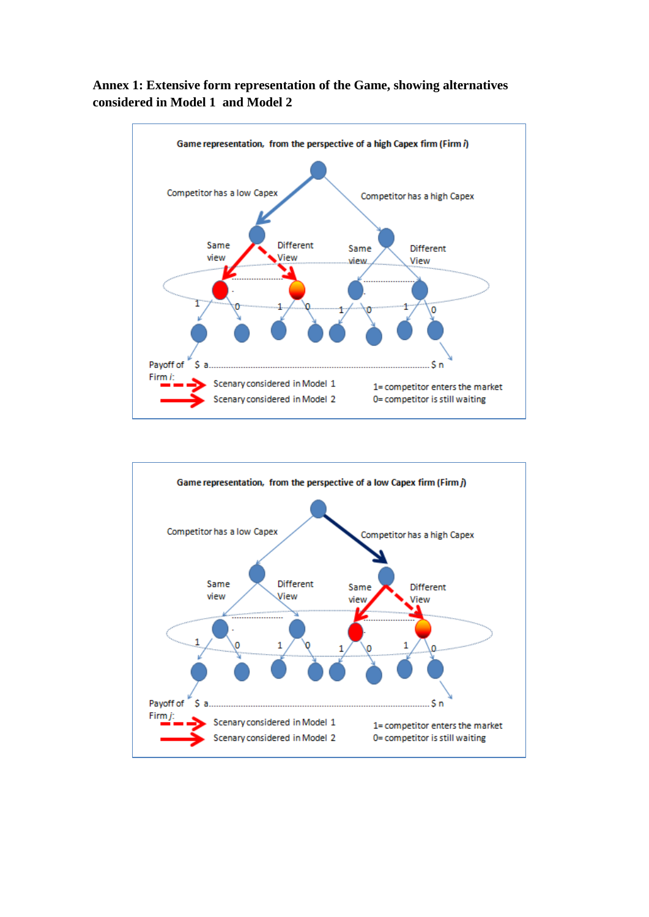# **Annex 1: Extensive form representation of the Game, showing alternatives considered in Model 1 and Model 2**



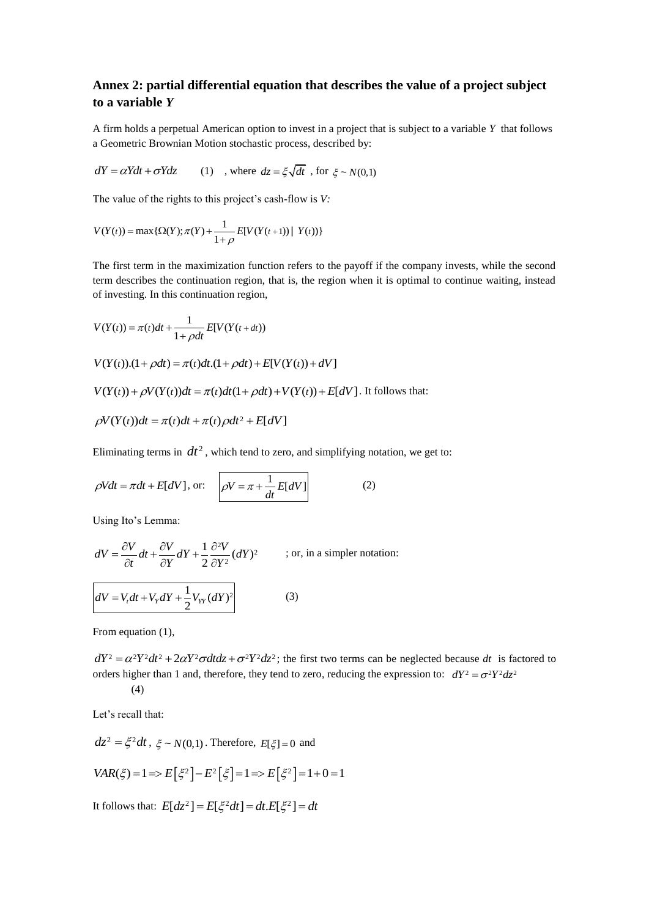# **Annex 2: partial differential equation that describes the value of a project subject to a variable** *Y*

A firm holds a perpetual American option to invest in a project that is subject to a variable *Y* that follows a Geometric Brownian Motion stochastic process, described by:

$$
dY = \alpha Ydt + \sigma Ydz \qquad (1) \quad \text{, where } dz = \xi \sqrt{dt} \text{ , for } \xi \sim N(0,1)
$$

The value of the rights to this project's cash-flow is *V*:

$$
V(Y(t)) = \max \{ \Omega(Y); \pi(Y) + \frac{1}{1+\rho} E[V(Y(t+1)) | Y(t)] \}
$$

The first term in the maximization function refers to the payoff if the company invests, while the second term describes the continuation region, that is, the region when it is optimal to continue waiting, instead of investing. In this continuation region,

$$
V(Y(t)) = \pi(t)dt + \frac{1}{1 + \rho dt} E[V(Y(t + dt))
$$
  
\n
$$
V(Y(t)).(1 + \rho dt) = \pi(t)dt.(1 + \rho dt) + E[V(Y(t)) + dV]
$$
  
\n
$$
V(Y(t)) + \rho V(Y(t))dt = \pi(t)dt(1 + \rho dt) + V(Y(t)) + E[dV].
$$
 It follows that:  
\n
$$
\rho V(Y(t))dt = \pi(t)dt + \pi(t)\rho dt^2 + E[dV]
$$

Eliminating terms in  $dt^2$ , which tend to zero, and simplifying notation, we get to:

$$
\rho Vdt = \pi dt + E[dV], \text{ or: } \quad \rho V = \pi + \frac{1}{dt} E[dV]
$$
 (2)

Using Ito's Lemma:

$$
dV = \frac{\partial V}{\partial t} dt + \frac{\partial V}{\partial Y} dY + \frac{1}{2} \frac{\partial^2 V}{\partial Y^2} (dY)^2 \qquad \text{(or, in a simpler notation)}
$$
  

$$
dV = V_t dt + V_Y dY + \frac{1}{2} V_{YY} (dY)^2 \qquad (3)
$$

From equation  $(1)$ ,

 $dY^2 = \alpha^2 Y^2 dt^2 + 2\alpha Y^2 \sigma dt dz + \sigma^2 Y^2 dz^2$ ; the first two terms can be neglected because *dt* is factored to orders higher than 1 and, therefore, they tend to zero, reducing the expression to:  $dY^2 = \sigma^2 Y^2 dz^2$ 

$$
(\mathbf{4})
$$

Let's recall that:

$$
dz^2 = \xi^2 dt, \ \xi \sim N(0,1). \text{ Therefore, } E[\xi] = 0 \text{ and}
$$
\n
$$
VAR(\xi) = 1 \Longrightarrow E[\xi^2] - E^2[\xi] = 1 \Longrightarrow E[\xi^2] = 1 + 0 = 1
$$

It follows that:  $E[dz^2] = E[\xi^2 dt] = dt.E[\xi^2] = dt$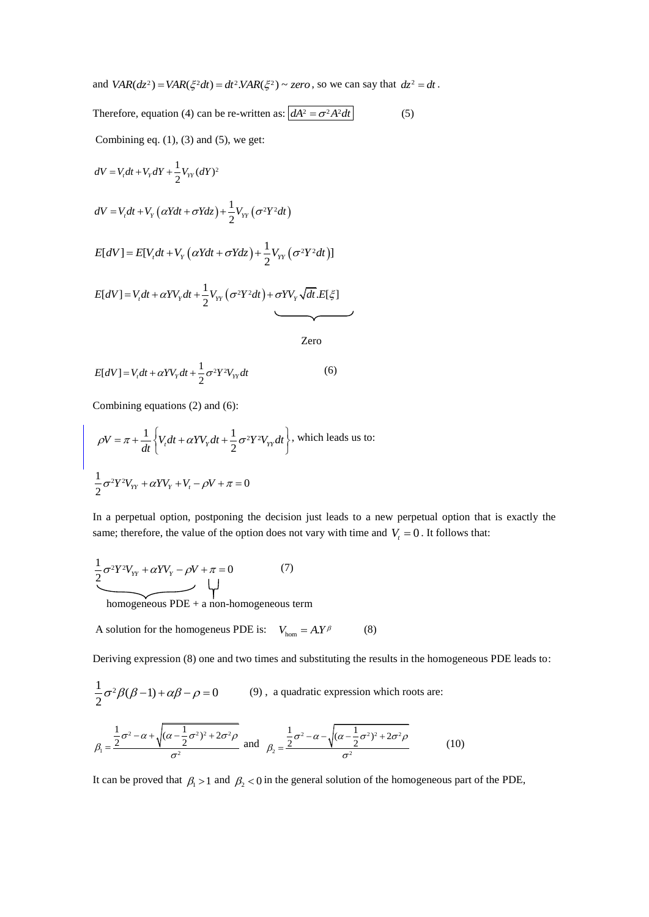and  $VAR(dz^2) = VAR(\xi^2 dt) = dt^2. VAR(\xi^2) \sim zero$ , so we can say that  $dz^2 = dt$ .

Therefore, equation (4) can be re-written as:  $\int dA^2 = \sigma^2 A^2 dt$ (5) Combining eq.  $(1)$ ,  $(3)$  and  $(5)$ , we get:  $dV = V_t dt + V_Y dY + \frac{1}{2} V_{YY} (dY)^2$  $(\alpha Ydt + \sigma Ydz) + \frac{1}{2}V_{YY}(\sigma^2 Y^2 dt)$  $dV = V_t dt + V_Y (\alpha Y dt + \sigma Y dz) + \frac{1}{2} V_{YY} (\sigma^2 Y^2 dt)$  $E[dV] = E[V_t dt + V_Y (\alpha Y dt + \sigma Y dz) + \frac{1}{2} V_{YY} (\sigma^2 Y^2 dt)]$  $E[dV] = V_t dt + \alpha Y V_Y dt + \frac{1}{2} V_{YY} (\sigma^2 Y^2 dt) + \sigma Y V_Y \sqrt{dt} . E[\xi]$ 

$$
E[dV] = V_t dt + \alpha Y V_{Y} dt + \frac{1}{2} \sigma^2 Y^2 V_{YY} dt
$$
 (6)

Combining equations (2) and (6):

$$
\rho V = \pi + \frac{1}{dt} \left\{ V_r dt + \alpha Y V_{\gamma} dt + \frac{1}{2} \sigma^2 Y^2 V_{\gamma \gamma} dt \right\}, \text{ which leads us to:}
$$

$$
\frac{1}{2} \sigma^2 Y^2 V_{\gamma \gamma} + \alpha Y V_{\gamma} + V_t - \rho V + \pi = 0
$$

In a perpetual option, postponing the decision just leads to a new perpetual option that is exactly the same; therefore, the value of the option does not vary with time and  $V<sub>t</sub> = 0$ . It follows that:

Zero

$$
\underbrace{\frac{1}{2}\sigma^2 Y^2 V_{YY} + \alpha Y V_{Y} - \rho V + \pi = 0}_{\text{max}} \tag{7}
$$

homogeneous  $PDE + a$  non-homogeneous term

A solution for the homogeneus PDE is:  $V_{\text{hom}} = A.Y^{\beta}$  (8)

Deriving expression (8) one and two times and substituting the results in the homogeneous PDE leads to:

$$
\frac{1}{2}\sigma^2 \beta(\beta - 1) + \alpha \beta - \rho = 0
$$
 (9), a quadratic expression which roots are:  

$$
\beta_1 = \frac{\frac{1}{2}\sigma^2 - \alpha + \sqrt{(\alpha - \frac{1}{2}\sigma^2)^2 + 2\sigma^2 \rho}}{\sigma^2}
$$
 and 
$$
\beta_2 = \frac{\frac{1}{2}\sigma^2 - \alpha - \sqrt{(\alpha - \frac{1}{2}\sigma^2)^2 + 2\sigma^2 \rho}}{\sigma^2}
$$
 (10)

It can be proved that  $\beta_1 > 1$  and  $\beta_2 < 0$  in the general solution of the homogeneous part of the PDE,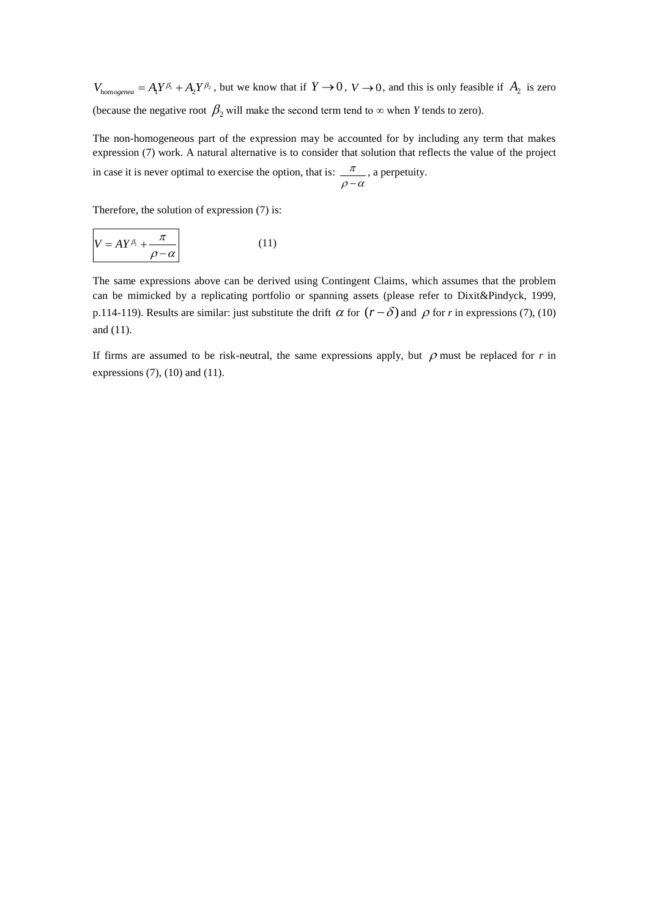$V_{\text{homogenea}} = A_1 Y^{\beta_1} + A_2 Y^{\beta_2}$ , but we know that if  $Y \to 0$ ,  $V \to 0$ , and this is only feasible if  $A_2$  is zero (because the negative root  $\beta_2$  will make the second term tend to  $\infty$  when *Y* tends to zero).

The non-homogeneous part of the expression may be accounted for by including any term that makes expression (7) work. A natural alternative is to consider that solution that reflects the value of the project in case it is never optimal to exercise the option, that is:  $\frac{\pi}{\sqrt{2}}$  $\rho-\alpha$ , a perpetuity.

Therefore, the solution of expression (7) is:

$$
V = A Y^{\beta_1} + \frac{\pi}{\rho - \alpha} \tag{11}
$$

The same expressions above can be derived using Contingent Claims, which assumes that the problem can be mimicked by a replicating portfolio or spanning assets (please refer to Dixit&Pindyck, 1999, p.114-119). Results are similar: just substitute the drift  $\alpha$  for  $(r - \delta)$  and  $\rho$  for *r* in expressions (7), (10) and (11).

If firms are assumed to be risk-neutral, the same expressions apply, but  $\rho$  must be replaced for  $r$  in expressions  $(7)$ ,  $(10)$  and  $(11)$ .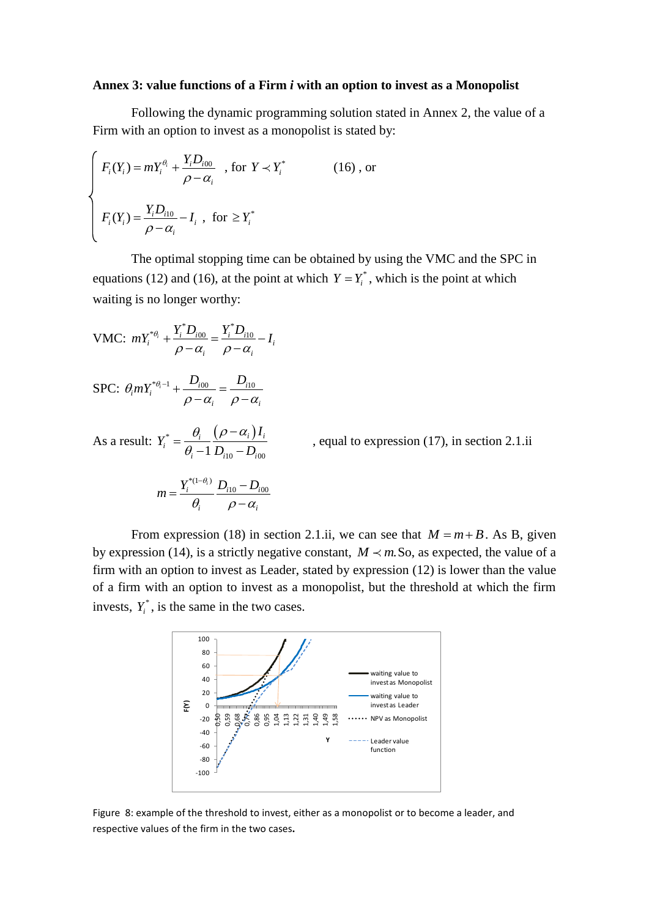#### **Annex 3: value functions of a Firm** *i* **with an option to invest as a Monopolist**

Following the dynamic programming solution stated in Annex 2, the value of a Firm with an option to invest as a monopolist is stated by:

$$
\begin{cases}\nF_i(Y_i) = mY_i^{\theta_i} + \frac{Y_i D_{i00}}{\rho - \alpha_i} , \text{ for } Y \prec Y_i^* \tag{16}, \text{ or} \\
F_i(Y_i) = \frac{Y_i D_{i10}}{\rho - \alpha_i} - I_i , \text{ for } \ge Y_i^*\n\end{cases}
$$

The optimal stopping time can be obtained by using the VMC and the SPC in equations (12) and (16), at the point at which  $Y = Y_i^*$ , which is the point at which waiting is no longer worthy:

VMC: 
$$
mY_i^{* \theta_i} + \frac{Y_i^* D_{i00}}{\rho - \alpha_i} = \frac{Y_i^* D_{i10}}{\rho - \alpha_i} - I_i
$$

$$
\text{SPC: } \theta_i m Y_i^{* \theta_i - 1} + \frac{D_{i00}}{\rho - \alpha_i} = \frac{D_{i10}}{\rho - \alpha_i}
$$

As a result:  $Y_i^* = \frac{\theta_i}{\sqrt{2\pi i}} \frac{(\rho - \alpha_i)}{\sqrt{2\pi i}}$  $1 D_{i10} - D_{i00}$  $\frac{\partial_i}{\partial_i} = \frac{\partial_i}{\partial_i - 1} \frac{(\rho - \alpha_i)I_i}{D_{i10} - D_{i00}}$ *I*  $Y_i^* = \frac{V_i}{\theta_i - 1} \frac{(P - V_i)}{D_{i10} - D_i}$  $\theta_i$   $(\rho - \alpha_i)$  $\theta$  $\overline{a}$  $=\frac{U_i}{\theta_i-1}\frac{(P - U_i)^T i}{D_{i10}-D_{i00}}$ , equal to expression (17), in section 2.1.ii

$$
m = \frac{Y_i^{*(1-\theta_i)}}{\theta_i} \frac{D_{i10} - D_{i00}}{\rho - \alpha_i}
$$

From expression (18) in section 2.1.ii, we can see that  $M = m + B$ . As B, given by expression (14), is a strictly negative constant,  $M \prec m$ . So, as expected, the value of a firm with an option to invest as Leader, stated by expression (12) is lower than the value of a firm with an option to invest as a monopolist, but the threshold at which the firm invests,  $Y_i^*$ , is the same in the two cases.



Figure 8: example of the threshold to invest, either as a monopolist or to become a leader, and respective values of the firm in the two cases**.**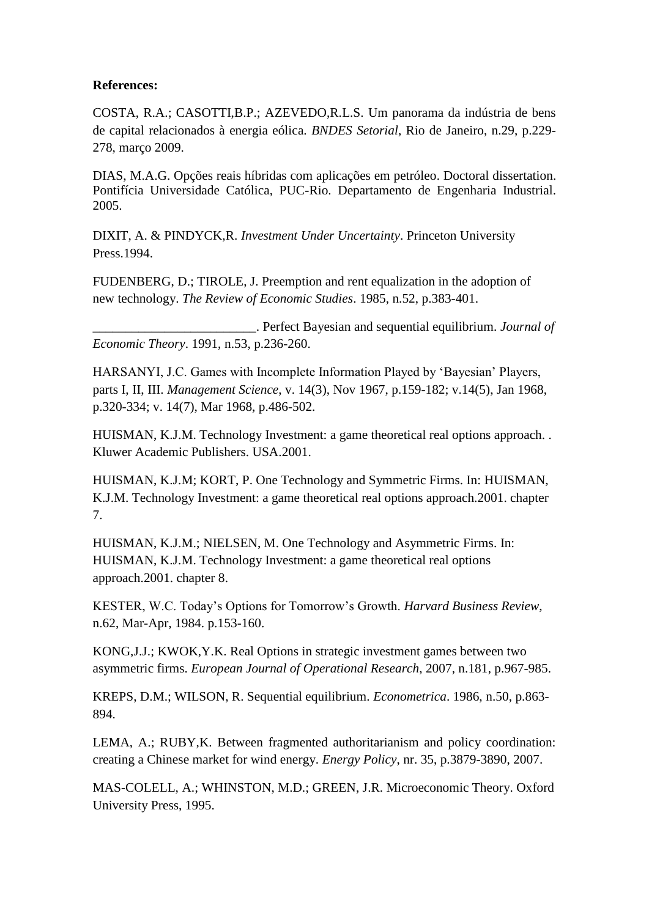# **References:**

COSTA, R.A.; CASOTTI,B.P.; AZEVEDO,R.L.S. Um panorama da indústria de bens de capital relacionados à energia eólica. *BNDES Setorial*, Rio de Janeiro, n.29, p.229- 278, março 2009.

DIAS, M.A.G. Opções reais híbridas com aplicações em petróleo. Doctoral dissertation. Pontifícia Universidade Católica, PUC-Rio. Departamento de Engenharia Industrial. 2005.

DIXIT, A. & PINDYCK,R. *Investment Under Uncertainty*. Princeton University Press.1994.

FUDENBERG, D.; TIROLE, J. Preemption and rent equalization in the adoption of new technology. *The Review of Economic Studies*. 1985, n.52, p.383-401.

\_\_\_\_\_\_\_\_\_\_\_\_\_\_\_\_\_\_\_\_\_\_\_\_\_. Perfect Bayesian and sequential equilibrium. *Journal of Economic Theory*. 1991, n.53, p.236-260.

HARSANYI, J.C. Games with Incomplete Information Played by "Bayesian" Players, parts I, II, III. *Management Science*, v. 14(3), Nov 1967, p.159-182; v.14(5), Jan 1968, p.320-334; v. 14(7), Mar 1968, p.486-502.

HUISMAN, K.J.M. Technology Investment: a game theoretical real options approach. . Kluwer Academic Publishers. USA.2001.

HUISMAN, K.J.M; KORT, P. One Technology and Symmetric Firms. In: HUISMAN, K.J.M. Technology Investment: a game theoretical real options approach.2001. chapter 7.

HUISMAN, K.J.M.; NIELSEN, M. One Technology and Asymmetric Firms. In: HUISMAN, K.J.M. Technology Investment: a game theoretical real options approach.2001. chapter 8.

KESTER, W.C. Today"s Options for Tomorrow"s Growth. *Harvard Business Review*, n.62, Mar-Apr, 1984. p.153-160.

KONG,J.J.; KWOK,Y.K. Real Options in strategic investment games between two asymmetric firms. *European Journal of Operational Research*, 2007, n.181, p.967-985.

KREPS, D.M.; WILSON, R. Sequential equilibrium. *Econometrica*. 1986, n.50, p.863- 894.

LEMA, A.; RUBY,K. Between fragmented authoritarianism and policy coordination: creating a Chinese market for wind energy. *Energy Policy*, nr. 35, p.3879-3890, 2007.

MAS-COLELL, A.; WHINSTON, M.D.; GREEN, J.R. Microeconomic Theory. Oxford University Press, 1995.